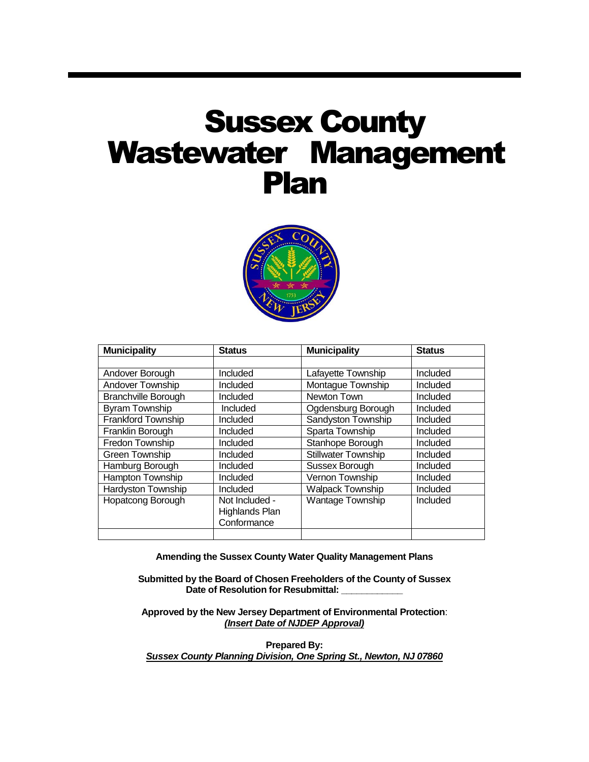# Sussex County Wastewater Management Plan



| <b>Municipality</b>        | <b>Status</b>         | <b>Municipality</b>        | <b>Status</b> |
|----------------------------|-----------------------|----------------------------|---------------|
|                            |                       |                            |               |
| Andover Borough            | Included              | Lafayette Township         | Included      |
| Andover Township           | Included              | Montague Township          | Included      |
| <b>Branchville Borough</b> | Included              | Newton Town                | Included      |
| <b>Byram Township</b>      | Included              | Ogdensburg Borough         | Included      |
| <b>Frankford Township</b>  | Included              | Sandyston Township         | Included      |
| Franklin Borough           | Included              | Sparta Township            | Included      |
| Fredon Township            | Included              | Stanhope Borough           | Included      |
| Green Township             | Included              | <b>Stillwater Township</b> | Included      |
| Hamburg Borough            | Included              | Sussex Borough             | Included      |
| Hampton Township           | Included              | Vernon Township            | Included      |
| <b>Hardyston Township</b>  | Included              | <b>Walpack Township</b>    | Included      |
| <b>Hopatcong Borough</b>   | Not Included -        | <b>Wantage Township</b>    | Included      |
|                            | <b>Highlands Plan</b> |                            |               |
|                            | Conformance           |                            |               |
|                            |                       |                            |               |

**Amending the Sussex County Water Quality Management Plans**

**Submitted by the Board of Chosen Freeholders of the County of Sussex** Date of Resolution for Resubmittal:

**Approved by the New Jersey Department of Environmental Protection**: *(Insert Date of NJDEP Approval)*

**Prepared By:** *Sussex County Planning Division, One Spring St., Newton, NJ 07860*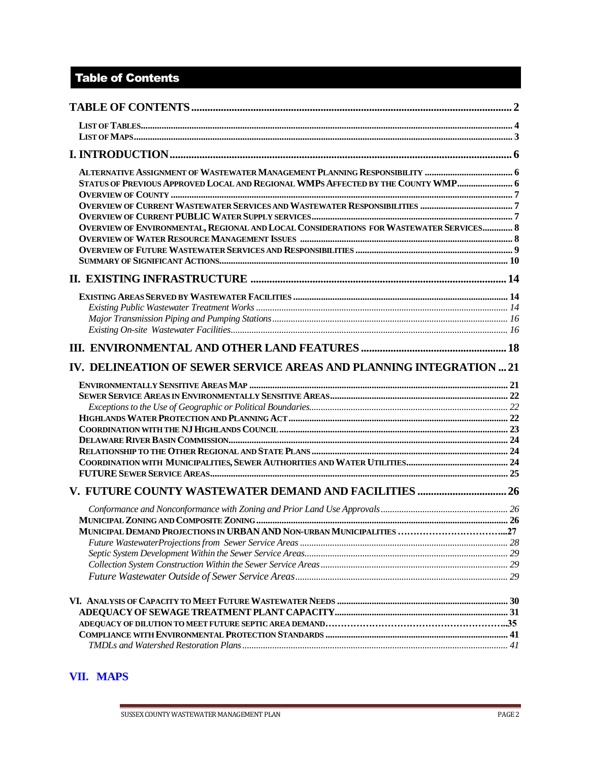# <span id="page-1-0"></span>Table of Contents

| STATUS OF PREVIOUS APPROVED LOCAL AND REGIONAL WMPS AFFECTED BY THE COUNTY WMP 6       |  |
|----------------------------------------------------------------------------------------|--|
|                                                                                        |  |
|                                                                                        |  |
|                                                                                        |  |
| OVERVIEW OF ENVIRONMENTAL, REGIONAL AND LOCAL CONSIDERATIONS FOR WASTEWATER SERVICES 8 |  |
|                                                                                        |  |
|                                                                                        |  |
|                                                                                        |  |
|                                                                                        |  |
|                                                                                        |  |
|                                                                                        |  |
|                                                                                        |  |
|                                                                                        |  |
|                                                                                        |  |
|                                                                                        |  |
| IV. DELINEATION OF SEWER SERVICE AREAS AND PLANNING INTEGRATION  21                    |  |
|                                                                                        |  |
|                                                                                        |  |
|                                                                                        |  |
|                                                                                        |  |
|                                                                                        |  |
|                                                                                        |  |
|                                                                                        |  |
|                                                                                        |  |
|                                                                                        |  |
| V. FUTURE COUNTY WASTEWATER DEMAND AND FACILITIES  26                                  |  |
|                                                                                        |  |
|                                                                                        |  |
|                                                                                        |  |
|                                                                                        |  |
|                                                                                        |  |
|                                                                                        |  |
|                                                                                        |  |
|                                                                                        |  |
|                                                                                        |  |
|                                                                                        |  |
|                                                                                        |  |

## **VII. MAPS**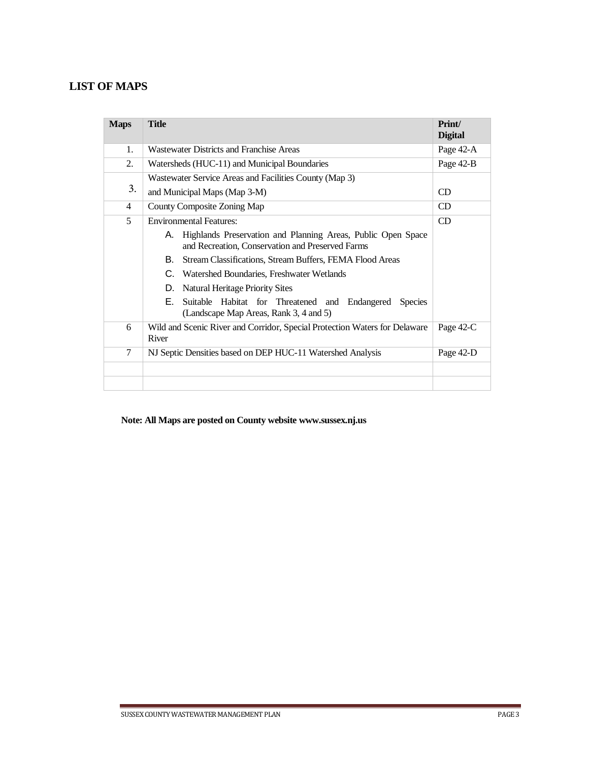## <span id="page-2-0"></span>**LIST OF MAPS**

| <b>Maps</b> | <b>Title</b>                                                                                                           | Print/<br><b>Digital</b> |
|-------------|------------------------------------------------------------------------------------------------------------------------|--------------------------|
| 1.          | <b>Wastewater Districts and Franchise Areas</b>                                                                        | Page 42-A                |
| 2.          | Watersheds (HUC-11) and Municipal Boundaries                                                                           | Page 42-B                |
|             | Wastewater Service Areas and Facilities County (Map 3)                                                                 |                          |
| 3.          | and Municipal Maps (Map 3-M)                                                                                           | CD                       |
| 4           | County Composite Zoning Map                                                                                            | CD                       |
| 5           | <b>Environmental Features:</b>                                                                                         | <b>CD</b>                |
|             | Highlands Preservation and Planning Areas, Public Open Space<br>А.<br>and Recreation, Conservation and Preserved Farms |                          |
|             | Stream Classifications, Stream Buffers, FEMA Flood Areas<br>В.                                                         |                          |
|             | C.<br>Watershed Boundaries, Freshwater Wetlands                                                                        |                          |
|             | Natural Heritage Priority Sites<br>D.                                                                                  |                          |
|             | F.<br>Suitable Habitat for Threatened and Endangered<br><b>Species</b><br>(Landscape Map Areas, Rank 3, 4 and 5)       |                          |
| 6           | Wild and Scenic River and Corridor, Special Protection Waters for Delaware<br>River                                    | Page 42-C                |
| 7           | NJ Septic Densities based on DEP HUC-11 Watershed Analysis                                                             | Page 42-D                |
|             |                                                                                                                        |                          |
|             |                                                                                                                        |                          |

**Note: All Maps are posted on County websit[e www.sussex.nj.us](http://www.sussex.nj.us/)**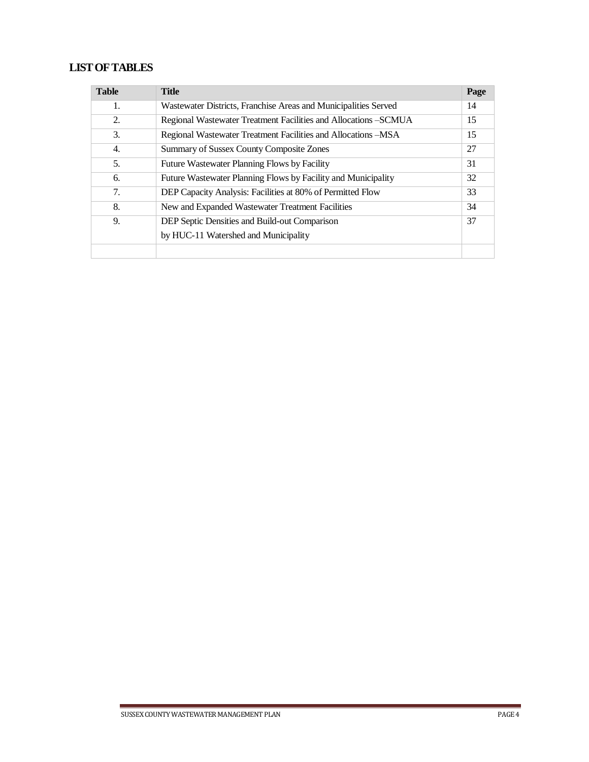## <span id="page-3-0"></span>**LIST OF TABLES**

| <b>Table</b> | <b>Title</b>                                                     | Page |
|--------------|------------------------------------------------------------------|------|
| 1.           | Wastewater Districts, Franchise Areas and Municipalities Served  | 14   |
| 2.           | Regional Wastewater Treatment Facilities and Allocations – SCMUA | 15   |
| 3.           | Regional Wastewater Treatment Facilities and Allocations – MSA   | 15   |
| 4.           | Summary of Sussex County Composite Zones                         | 27   |
| 5.           | Future Wastewater Planning Flows by Facility                     | 31   |
| 6.           | Future Wastewater Planning Flows by Facility and Municipality    | 32   |
| 7.           | DEP Capacity Analysis: Facilities at 80% of Permitted Flow       | 33   |
| 8.           | New and Expanded Wastewater Treatment Facilities                 | 34   |
| 9.           | DEP Septic Densities and Build-out Comparison                    | 37   |
|              | by HUC-11 Watershed and Municipality                             |      |
|              |                                                                  |      |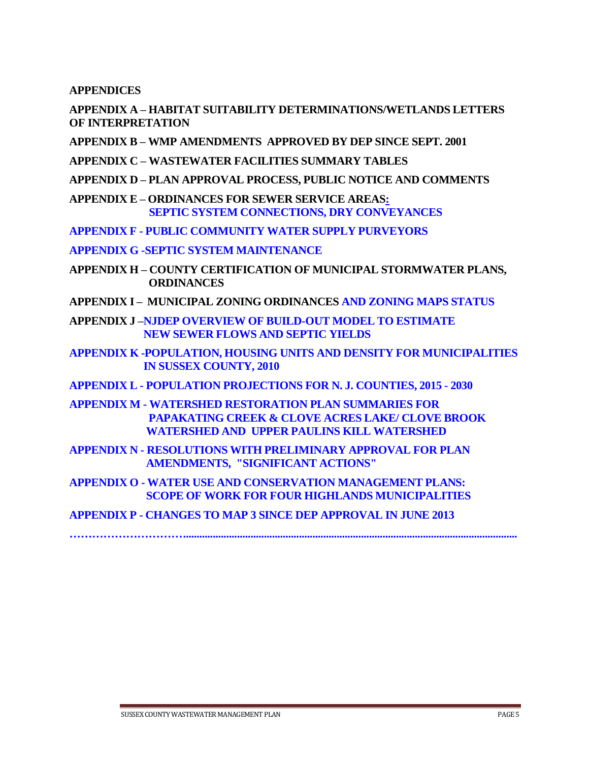**APPENDICES** 

**APPENDIX A – HABITAT SUITABILITY DETERMINATIONS/WETLANDS LETTERS OF INTERPRETATION**

- **APPENDIX B WMP AMENDMENTS APPROVED BY DEP SINCE SEPT. 2001**
- **APPENDIX C WASTEWATER FACILITIES SUMMARY TABLES**
- **APPENDIX D PLAN APPROVAL PROCESS, PUBLIC NOTICE AND COMMENTS**
- **APPENDIX E ORDINANCES FOR SEWER SERVICE AREAS: SEPTIC SYSTEM CONNECTIONS, DRY CONVEYANCES**
- **APPENDIX F PUBLIC COMMUNITY WATER SUPPLY PURVEYORS**
- **APPENDIX G -SEPTIC SYSTEM MAINTENANCE**
- **APPENDIX H COUNTY CERTIFICATION OF MUNICIPAL STORMWATER PLANS, ORDINANCES**
- **APPENDIX I MUNICIPAL ZONING ORDINANCES AND ZONING MAPS STATUS**
- **APPENDIX J –NJDEP OVERVIEW OF BUILD-OUT MODEL TO ESTIMATE NEW SEWER FLOWS AND SEPTIC YIELDS**
- **APPENDIX K -POPULATION, HOUSING UNITS AND DENSITY FOR MUNICIPALITIES IN SUSSEX COUNTY, 2010**
- **APPENDIX L POPULATION PROJECTIONS FOR N. J. COUNTIES, 2015 2030**
- **APPENDIX M WATERSHED RESTORATION PLAN SUMMARIES FOR PAPAKATING CREEK & CLOVE ACRES LAKE/ CLOVE BROOK WATERSHED AND UPPER PAULINS KILL WATERSHED**
- **APPENDIX N RESOLUTIONS WITH PRELIMINARY APPROVAL FOR PLAN AMENDMENTS, "SIGNIFICANT ACTIONS"**
- **APPENDIX O WATER USE AND CONSERVATION MANAGEMENT PLANS: SCOPE OF WORK FOR FOUR HIGHLANDS MUNICIPALITIES**
- **APPENDIX P CHANGES TO MAP 3 SINCE DEP APPROVAL IN JUNE 2013**

**…………………………............................................................................................................................**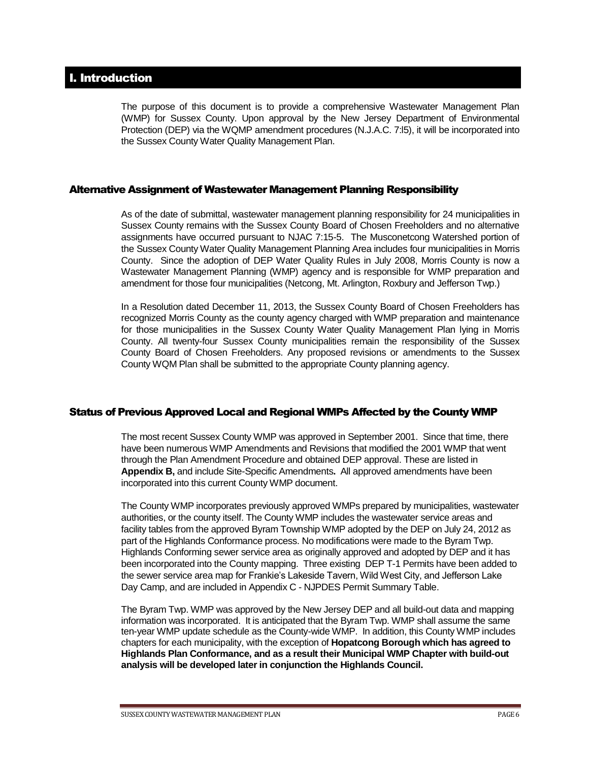## <span id="page-5-0"></span>I. Introduction

The purpose of this document is to provide a comprehensive Wastewater Management Plan (WMP) for Sussex County. Upon approval by the New Jersey Department of Environmental Protection (DEP) via the WQMP amendment procedures (N.J.A.C. 7:l5), it will be incorporated into the Sussex County Water Quality Management Plan.

#### <span id="page-5-1"></span>Alternative Assignment of Wastewater Management Planning Responsibility

As of the date of submittal, wastewater management planning responsibility for 24 municipalities in Sussex County remains with the Sussex County Board of Chosen Freeholders and no alternative assignments have occurred pursuant to NJAC 7:15-5. The Musconetcong Watershed portion of the Sussex County Water Quality Management Planning Area includes four municipalities in Morris County. Since the adoption of DEP Water Quality Rules in July 2008, Morris County is now a Wastewater Management Planning (WMP) agency and is responsible for WMP preparation and amendment for those four municipalities (Netcong, Mt. Arlington, Roxbury and Jefferson Twp.)

In a Resolution dated December 11, 2013, the Sussex County Board of Chosen Freeholders has recognized Morris County as the county agency charged with WMP preparation and maintenance for those municipalities in the Sussex County Water Quality Management Plan lying in Morris County. All twenty-four Sussex County municipalities remain the responsibility of the Sussex County Board of Chosen Freeholders. Any proposed revisions or amendments to the Sussex County WQM Plan shall be submitted to the appropriate County planning agency.

#### <span id="page-5-2"></span>Status of Previous Approved Local and Regional WMPs Affected by the County WMP

The most recent Sussex County WMP was approved in September 2001. Since that time, there have been numerous WMP Amendments and Revisions that modified the 2001 WMP that went through the Plan Amendment Procedure and obtained DEP approval. These are listed in **Appendix B,** and include Site-Specific Amendments**.** All approved amendments have been incorporated into this current County WMP document.

The County WMP incorporates previously approved WMPs prepared by municipalities, wastewater authorities, or the county itself. The County WMP includes the wastewater service areas and facility tables from the approved Byram Township WMP adopted by the DEP on July 24, 2012 as part of the Highlands Conformance process. No modifications were made to the Byram Twp. Highlands Conforming sewer service area as originally approved and adopted by DEP and it has been incorporated into the County mapping.Three existing DEP T-1 Permits have been added to the sewer service area map for Frankie's Lakeside Tavern, Wild West City, and Jefferson Lake Day Camp, and are included in Appendix C - NJPDES Permit Summary Table.

The Byram Twp. WMP was approved by the New Jersey DEP and all build-out data and mapping information was incorporated. It is anticipated that the Byram Twp. WMP shall assume the same ten-year WMP update schedule as the County-wide WMP. In addition, this County WMP includes chapters for each municipality, with the exception of **Hopatcong Borough which has agreed to Highlands Plan Conformance, and as a result their Municipal WMP Chapter with build-out analysis will be developed later in conjunction the Highlands Council.**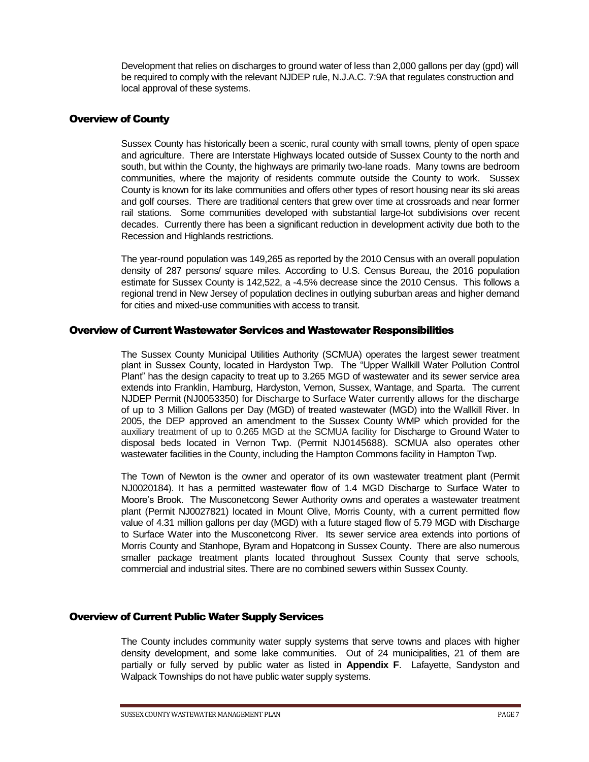Development that relies on discharges to ground water of less than 2,000 gallons per day (gpd) will be required to comply with the relevant NJDEP rule, N.J.A.C. 7:9A that regulates construction and local approval of these systems.

## <span id="page-6-0"></span>Overview of County

Sussex County has historically been a scenic, rural county with small towns, plenty of open space and agriculture. There are Interstate Highways located outside of Sussex County to the north and south, but within the County, the highways are primarily two-lane roads. Many towns are bedroom communities, where the majority of residents commute outside the County to work. Sussex County is known for its lake communities and offers other types of resort housing near its ski areas and golf courses. There are traditional centers that grew over time at crossroads and near former rail stations. Some communities developed with substantial large-lot subdivisions over recent decades. Currently there has been a significant reduction in development activity due both to the Recession and Highlands restrictions.

The year-round population was 149,265 as reported by the 2010 Census with an overall population density of 287 persons/ square miles. According to U.S. Census Bureau, the 2016 population estimate for Sussex County is 142,522, a -4.5% decrease since the 2010 Census. This follows a regional trend in New Jersey of population declines in outlying suburban areas and higher demand for cities and mixed-use communities with access to transit.

#### <span id="page-6-1"></span>Overview of Current Wastewater Services and Wastewater Responsibilities

The Sussex County Municipal Utilities Authority (SCMUA) operates the largest sewer treatment plant in Sussex County, located in Hardyston Twp. The "Upper Wallkill Water Pollution Control Plant" has the design capacity to treat up to 3.265 MGD of wastewater and its sewer service area extends into Franklin, Hamburg, Hardyston, Vernon, Sussex, Wantage, and Sparta. The current NJDEP Permit (NJ0053350) for Discharge to Surface Water currently allows for the discharge of up to 3 Million Gallons per Day (MGD) of treated wastewater (MGD) into the Wallkill River. In 2005, the DEP approved an amendment to the Sussex County WMP which provided for the auxiliary treatment of up to 0.265 MGD at the SCMUA facility for Discharge to Ground Water to disposal beds located in Vernon Twp. (Permit NJ0145688). SCMUA also operates other wastewater facilities in the County, including the Hampton Commons facility in Hampton Twp.

The Town of Newton is the owner and operator of its own wastewater treatment plant (Permit NJ0020184). It has a permitted wastewater flow of 1.4 MGD Discharge to Surface Water to Moore's Brook. The Musconetcong Sewer Authority owns and operates a wastewater treatment plant (Permit NJ0027821) located in Mount Olive, Morris County, with a current permitted flow value of 4.31 million gallons per day (MGD) with a future staged flow of 5.79 MGD with Discharge to Surface Water into the Musconetcong River. Its sewer service area extends into portions of Morris County and Stanhope, Byram and Hopatcong in Sussex County. There are also numerous smaller package treatment plants located throughout Sussex County that serve schools, commercial and industrial sites. There are no combined sewers within Sussex County.

#### <span id="page-6-2"></span>Overview of Current Public Water Supply Services

The County includes community water supply systems that serve towns and places with higher density development, and some lake communities. Out of 24 municipalities, 21 of them are partially or fully served by public water as listed in **Appendix F**. Lafayette, Sandyston and Walpack Townships do not have public water supply systems.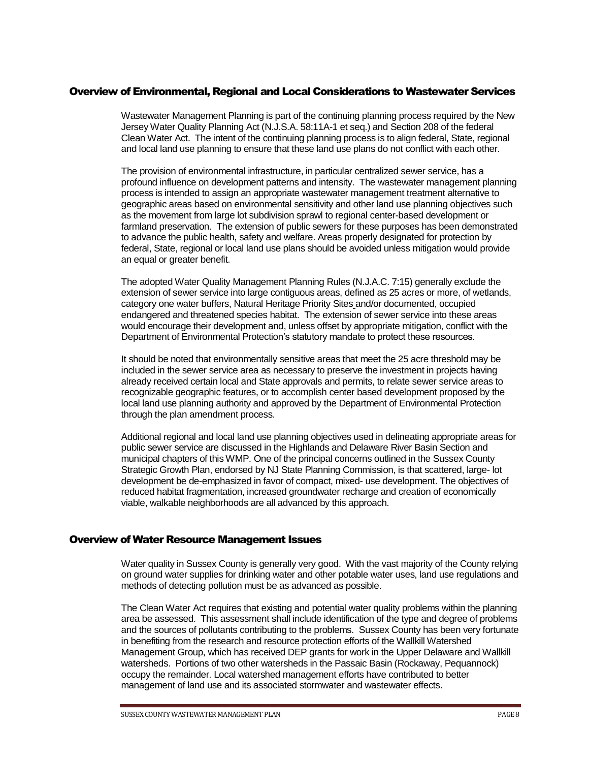#### <span id="page-7-0"></span>Overview of Environmental, Regional and Local Considerations to Wastewater Services

Wastewater Management Planning is part of the continuing planning process required by the New Jersey Water Quality Planning Act (N.J.S.A. 58:11A-1 et seq.) and Section 208 of the federal Clean Water Act. The intent of the continuing planning process is to align federal, State, regional and local land use planning to ensure that these land use plans do not conflict with each other.

The provision of environmental infrastructure, in particular centralized sewer service, has a profound influence on development patterns and intensity. The wastewater management planning process is intended to assign an appropriate wastewater management treatment alternative to geographic areas based on environmental sensitivity and other land use planning objectives such as the movement from large lot subdivision sprawl to regional center-based development or farmland preservation. The extension of public sewers for these purposes has been demonstrated to advance the public health, safety and welfare. Areas properly designated for protection by federal, State, regional or local land use plans should be avoided unless mitigation would provide an equal or greater benefit.

The adopted Water Quality Management Planning Rules (N.J.A.C. 7:15) generally exclude the extension of sewer service into large contiguous areas, defined as 25 acres or more, of wetlands, category one water buffers, Natural Heritage Priority Sites and/or documented, occupied endangered and threatened species habitat. The extension of sewer service into these areas would encourage their development and, unless offset by appropriate mitigation, conflict with the Department of Environmental Protection's statutory mandate to protect these resources.

It should be noted that environmentally sensitive areas that meet the 25 acre threshold may be included in the sewer service area as necessary to preserve the investment in projects having already received certain local and State approvals and permits, to relate sewer service areas to recognizable geographic features, or to accomplish center based development proposed by the local land use planning authority and approved by the Department of Environmental Protection through the plan amendment process.

Additional regional and local land use planning objectives used in delineating appropriate areas for public sewer service are discussed in the Highlands and Delaware River Basin Section and municipal chapters of this WMP. One of the principal concerns outlined in the Sussex County Strategic Growth Plan, endorsed by NJ State Planning Commission, is that scattered, large- lot development be de-emphasized in favor of compact, mixed- use development. The objectives of reduced habitat fragmentation, increased groundwater recharge and creation of economically viable, walkable neighborhoods are all advanced by this approach.

#### <span id="page-7-1"></span>Overview of Water Resource Management Issues

Water quality in Sussex County is generally very good. With the vast majority of the County relying on ground water supplies for drinking water and other potable water uses, land use regulations and methods of detecting pollution must be as advanced as possible.

The Clean Water Act requires that existing and potential water quality problems within the planning area be assessed. This assessment shall include identification of the type and degree of problems and the sources of pollutants contributing to the problems. Sussex County has been very fortunate in benefiting from the research and resource protection efforts of the Wallkill Watershed Management Group, which has received DEP grants for work in the Upper Delaware and Wallkill watersheds. Portions of two other watersheds in the Passaic Basin (Rockaway, Pequannock) occupy the remainder. Local watershed management efforts have contributed to better management of land use and its associated stormwater and wastewater effects.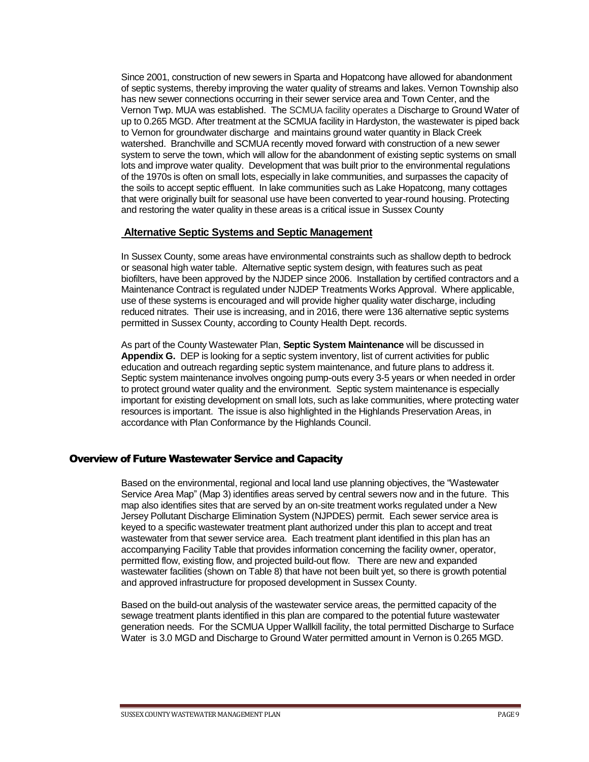Since 2001, construction of new sewers in Sparta and Hopatcong have allowed for abandonment of septic systems, thereby improving the water quality of streams and lakes. Vernon Township also has new sewer connections occurring in their sewer service area and Town Center, and the Vernon Twp. MUA was established. The SCMUA facility operates a Discharge to Ground Water of up to 0.265 MGD. After treatment at the SCMUA facility in Hardyston, the wastewater is piped back to Vernon for groundwater discharge and maintains ground water quantity in Black Creek watershed. Branchville and SCMUA recently moved forward with construction of a new sewer system to serve the town, which will allow for the abandonment of existing septic systems on small lots and improve water quality. Development that was built prior to the environmental regulations of the 1970s is often on small lots, especially in lake communities, and surpasses the capacity of the soils to accept septic effluent. In lake communities such as Lake Hopatcong, many cottages that were originally built for seasonal use have been converted to year-round housing. Protecting and restoring the water quality in these areas is a critical issue in Sussex County

#### **Alternative Septic Systems and Septic Management**

In Sussex County, some areas have environmental constraints such as shallow depth to bedrock or seasonal high water table. Alternative septic system design, with features such as peat biofilters, have been approved by the NJDEP since 2006. Installation by certified contractors and a Maintenance Contract is regulated under NJDEP Treatments Works Approval. Where applicable, use of these systems is encouraged and will provide higher quality water discharge, including reduced nitrates. Their use is increasing, and in 2016, there were 136 alternative septic systems permitted in Sussex County, according to County Health Dept. records.

As part of the County Wastewater Plan, **Septic System Maintenance** will be discussedin **Appendix G.** DEP is looking for a septic system inventory, list of current activities for public education and outreach regarding septic system maintenance, and future plans to address it. Septic system maintenance involves ongoing pump-outs every 3-5 years or when needed in order to protect ground water quality and the environment. Septic system maintenance is especially important for existing development on small lots, such as lake communities, where protecting water resources is important. The issue is also highlighted in the Highlands Preservation Areas, in accordance with Plan Conformance by the Highlands Council.

#### <span id="page-8-0"></span>Overview of Future Wastewater Service and Capacity

Based on the environmental, regional and local land use planning objectives, the "Wastewater Service Area Map" (Map 3) identifies areas served by central sewers now and in the future. This map also identifies sites that are served by an on-site treatment works regulated under a New Jersey Pollutant Discharge Elimination System (NJPDES) permit. Each sewer service area is keyed to a specific wastewater treatment plant authorized under this plan to accept and treat wastewater from that sewer service area. Each treatment plant identified in this plan has an accompanying Facility Table that provides information concerning the facility owner, operator, permitted flow, existing flow, and projected build-out flow. There are new and expanded wastewater facilities (shown on Table 8) that have not been built yet, so there is growth potential and approved infrastructure for proposed development in Sussex County.

Based on the build-out analysis of the wastewater service areas, the permitted capacity of the sewage treatment plants identified in this plan are compared to the potential future wastewater generation needs. For the SCMUA Upper Wallkill facility, the total permitted Discharge to Surface Water is 3.0 MGD and Discharge to Ground Water permitted amount in Vernon is 0.265 MGD.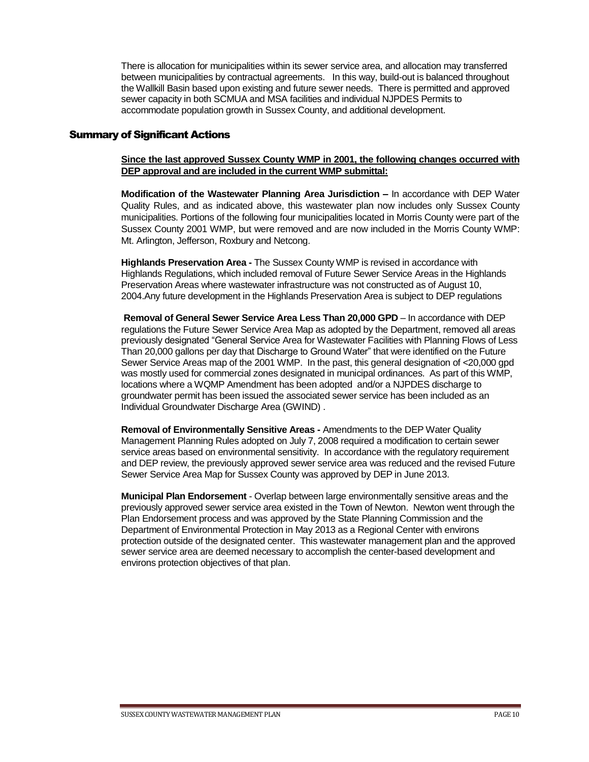There is allocation for municipalities within its sewer service area, and allocation may transferred between municipalities by contractual agreements. In this way, build-out is balanced throughout the Wallkill Basin based upon existing and future sewer needs. There is permitted and approved sewer capacity in both SCMUA and MSA facilities and individual NJPDES Permits to accommodate population growth in Sussex County, and additional development.

#### <span id="page-9-0"></span>Summary of Significant Actions

#### **Since the last approved Sussex County WMP in 2001, the following changes occurred with DEP approval and are included in the current WMP submittal:**

**Modification of the Wastewater Planning Area Jurisdiction –** In accordance with DEP Water Quality Rules, and as indicated above, this wastewater plan now includes only Sussex County municipalities. Portions of the following four municipalities located in Morris County were part of the Sussex County 2001 WMP, but were removed and are now included in the Morris County WMP: Mt. Arlington, Jefferson, Roxbury and Netcong.

**Highlands Preservation Area -** The Sussex County WMP is revised in accordance with Highlands Regulations, which included removal of Future Sewer Service Areas in the Highlands Preservation Areas where wastewater infrastructure was not constructed as of August 10, 2004.Any future development in the Highlands Preservation Area is subject to DEP regulations

**Removal of General Sewer Service Area Less Than 20,000 GPD** – In accordance with DEP regulations the Future Sewer Service Area Map as adopted by the Department, removed all areas previously designated "General Service Area for Wastewater Facilities with Planning Flows of Less Than 20,000 gallons per day that Discharge to Ground Water" that were identified on the Future Sewer Service Areas map of the 2001 WMP. In the past, this general designation of <20,000 gpd was mostly used for commercial zones designated in municipal ordinances. As part of this WMP, locations where a WQMP Amendment has been adopted and/or a NJPDES discharge to groundwater permit has been issued the associated sewer service has been included as an Individual Groundwater Discharge Area (GWIND) .

**Removal of Environmentally Sensitive Areas -** Amendments to the DEP Water Quality Management Planning Rules adopted on July 7, 2008 required a modification to certain sewer service areas based on environmental sensitivity. In accordance with the requlatory requirement and DEP review, the previously approved sewer service area was reduced and the revised Future Sewer Service Area Map for Sussex County was approved by DEP in June 2013.

**Municipal Plan Endorsement** - Overlap between large environmentally sensitive areas and the previously approved sewer service area existed in the Town of Newton. Newton went through the Plan Endorsement process and was approved by the State Planning Commission and the Department of Environmental Protection in May 2013 as a Regional Center with environs protection outside of the designated center. This wastewater management plan and the approved sewer service area are deemed necessary to accomplish the center-based development and environs protection objectives of that plan.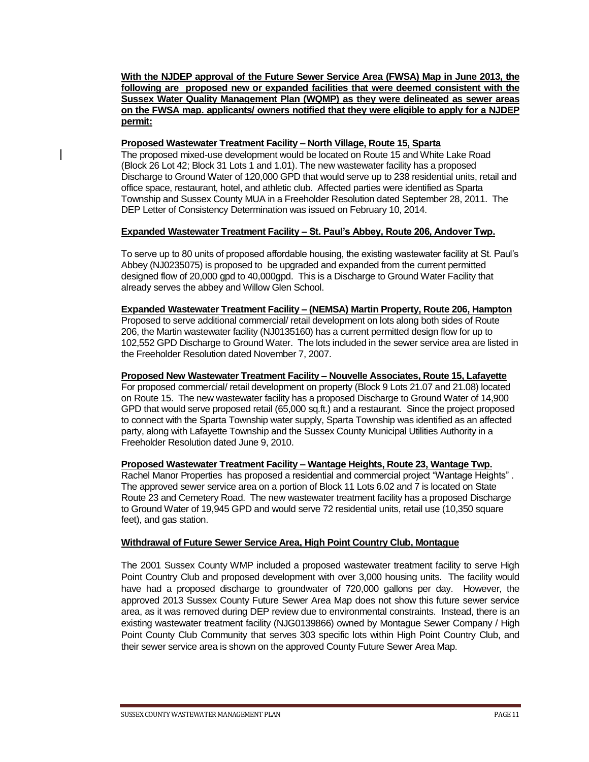**With the NJDEP approval of the Future Sewer Service Area (FWSA) Map in June 2013, the following are proposed new or expanded facilities that were deemed consistent with the Sussex Water Quality Management Plan (WQMP) as they were delineated as sewer areas on the FWSA map. applicants/ owners notified that they were eligible to apply for a NJDEP permit:**

#### **Proposed Wastewater Treatment Facility – North Village, Route 15, Sparta**

The proposed mixed-use development would be located on Route 15 and White Lake Road (Block 26 Lot 42; Block 31 Lots 1 and 1.01). The new wastewater facility has a proposed Discharge to Ground Water of 120,000 GPD that would serve up to 238 residential units, retail and office space, restaurant, hotel, and athletic club. Affected parties were identified as Sparta Township and Sussex County MUA in a Freeholder Resolution dated September 28, 2011. The DEP Letter of Consistency Determination was issued on February 10, 2014.

#### **Expanded Wastewater Treatment Facility – St. Paul's Abbey, Route 206, Andover Twp.**

To serve up to 80 units of proposed affordable housing, the existing wastewater facility at St. Paul's Abbey (NJ0235075) is proposed to be upgraded and expanded from the current permitted designed flow of 20,000 gpd to 40,000gpd. This is a Discharge to Ground Water Facility that already serves the abbey and Willow Glen School.

#### **Expanded Wastewater Treatment Facility – (NEMSA) Martin Property, Route 206, Hampton**

Proposed to serve additional commercial/ retail development on lots along both sides of Route 206, the Martin wastewater facility (NJ0135160) has a current permitted design flow for up to 102,552 GPD Discharge to Ground Water. The lots included in the sewer service area are listed in the Freeholder Resolution dated November 7, 2007.

#### **Proposed New Wastewater Treatment Facility – Nouvelle Associates, Route 15, Lafayette**

For proposed commercial/ retail development on property (Block 9 Lots 21.07 and 21.08) located on Route 15. The new wastewater facility has a proposed Discharge to Ground Water of 14,900 GPD that would serve proposed retail (65,000 sq.ft.) and a restaurant. Since the project proposed to connect with the Sparta Township water supply, Sparta Township was identified as an affected party, along with Lafayette Township and the Sussex County Municipal Utilities Authority in a Freeholder Resolution dated June 9, 2010.

**Proposed Wastewater Treatment Facility – Wantage Heights, Route 23, Wantage Twp.**  Rachel Manor Properties has proposed a residential and commercial project "Wantage Heights" .

The approved sewer service area on a portion of Block 11 Lots 6.02 and 7 is located on State Route 23 and Cemetery Road. The new wastewater treatment facility has a proposed Discharge to Ground Water of 19,945 GPD and would serve 72 residential units, retail use (10,350 square feet), and gas station.

#### **Withdrawal of Future Sewer Service Area, High Point Country Club, Montague**

The 2001 Sussex County WMP included a proposed wastewater treatment facility to serve High Point Country Club and proposed development with over 3,000 housing units. The facility would have had a proposed discharge to groundwater of 720,000 gallons per day. However, the approved 2013 Sussex County Future Sewer Area Map does not show this future sewer service area, as it was removed during DEP review due to environmental constraints. Instead, there is an existing wastewater treatment facility (NJG0139866) owned by Montague Sewer Company / High Point County Club Community that serves 303 specific lots within High Point Country Club, and their sewer service area is shown on the approved County Future Sewer Area Map.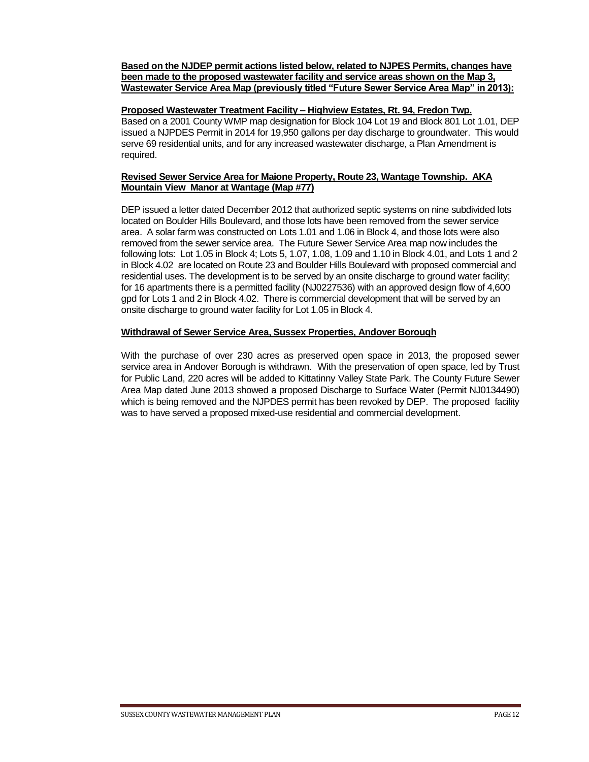**Based on the NJDEP permit actions listed below, related to NJPES Permits, changes have been made to the proposed wastewater facility and service areas shown on the Map 3, Wastewater Service Area Map (previously titled "Future Sewer Service Area Map" in 2013):**

**Proposed Wastewater Treatment Facility – Highview Estates, Rt. 94, Fredon Twp.** Based on a 2001 County WMP map designation for Block 104 Lot 19 and Block 801 Lot 1.01, DEP issued a NJPDES Permit in 2014 for 19,950 gallons per day discharge to groundwater. This would serve 69 residential units, and for any increased wastewater discharge, a Plan Amendment is required.

#### **Revised Sewer Service Area for Maione Property, Route 23, Wantage Township. AKA Mountain View Manor at Wantage (Map #77)**

DEP issued a letter dated December 2012 that authorized septic systems on nine subdivided lots located on Boulder Hills Boulevard, and those lots have been removed from the sewer service area. A solar farm was constructed on Lots 1.01 and 1.06 in Block 4, and those lots were also removed from the sewer service area. The Future Sewer Service Area map now includes the following lots: Lot 1.05 in Block 4; Lots 5, 1.07, 1.08, 1.09 and 1.10 in Block 4.01, and Lots 1 and 2 in Block 4.02 are located on Route 23 and Boulder Hills Boulevard with proposed commercial and residential uses. The development is to be served by an onsite discharge to ground water facility; for 16 apartments there is a permitted facility (NJ0227536) with an approved design flow of 4,600 gpd for Lots 1 and 2 in Block 4.02. There is commercial development that will be served by an onsite discharge to ground water facility for Lot 1.05 in Block 4.

#### **Withdrawal of Sewer Service Area, Sussex Properties, Andover Borough**

With the purchase of over 230 acres as preserved open space in 2013, the proposed sewer service area in Andover Borough is withdrawn. With the preservation of open space, led by Trust for Public Land, 220 acres will be added to Kittatinny Valley State Park. The County Future Sewer Area Map dated June 2013 showed a proposed Discharge to Surface Water (Permit NJ0134490) which is being removed and the NJPDES permit has been revoked by DEP. The proposed facility was to have served a proposed mixed-use residential and commercial development.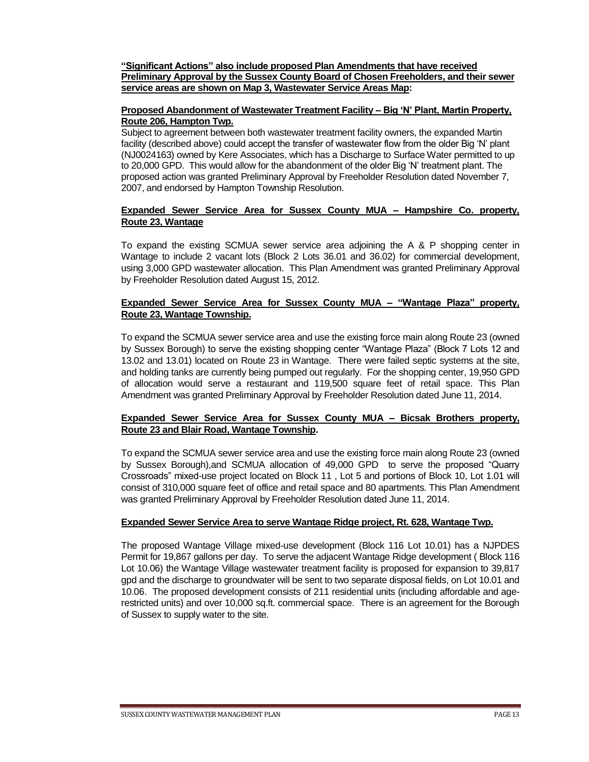**"Significant Actions" also include proposed Plan Amendments that have received Preliminary Approval by the Sussex County Board of Chosen Freeholders, and their sewer service areas are shown on Map 3, Wastewater Service Areas Map:**

#### **Proposed Abandonment of Wastewater Treatment Facility – Big 'N' Plant, Martin Property, Route 206, Hampton Twp.**

Subject to agreement between both wastewater treatment facility owners, the expanded Martin facility (described above) could accept the transfer of wastewater flow from the older Big 'N' plant (NJ0024163) owned by Kere Associates, which has a Discharge to Surface Water permitted to up to 20,000 GPD. This would allow for the abandonment of the older Big 'N' treatment plant. The proposed action was granted Preliminary Approval by Freeholder Resolution dated November 7, 2007, and endorsed by Hampton Township Resolution.

#### **Expanded Sewer Service Area for Sussex County MUA – Hampshire Co. property, Route 23, Wantage**

To expand the existing SCMUA sewer service area adjoining the A & P shopping center in Wantage to include 2 vacant lots (Block 2 Lots 36.01 and 36.02) for commercial development, using 3,000 GPD wastewater allocation. This Plan Amendment was granted Preliminary Approval by Freeholder Resolution dated August 15, 2012.

#### **Expanded Sewer Service Area for Sussex County MUA – "Wantage Plaza" property, Route 23, Wantage Township.**

To expand the SCMUA sewer service area and use the existing force main along Route 23 (owned by Sussex Borough) to serve the existing shopping center "Wantage Plaza" (Block 7 Lots 12 and 13.02 and 13.01) located on Route 23 in Wantage. There were failed septic systems at the site, and holding tanks are currently being pumped out regularly. For the shopping center, 19,950 GPD of allocation would serve a restaurant and 119,500 square feet of retail space. This Plan Amendment was granted Preliminary Approval by Freeholder Resolution dated June 11, 2014.

#### **Expanded Sewer Service Area for Sussex County MUA – Bicsak Brothers property, Route 23 and Blair Road, Wantage Township.**

To expand the SCMUA sewer service area and use the existing force main along Route 23 (owned by Sussex Borough),and SCMUA allocation of 49,000 GPD to serve the proposed "Quarry Crossroads" mixed-use project located on Block 11 , Lot 5 and portions of Block 10, Lot 1.01 will consist of 310,000 square feet of office and retail space and 80 apartments. This Plan Amendment was granted Preliminary Approval by Freeholder Resolution dated June 11, 2014.

#### **Expanded Sewer Service Area to serve Wantage Ridge project, Rt. 628, Wantage Twp.**

The proposed Wantage Village mixed-use development (Block 116 Lot 10.01) has a NJPDES Permit for 19,867 gallons per day. To serve the adjacent Wantage Ridge development ( Block 116 Lot 10.06) the Wantage Village wastewater treatment facility is proposed for expansion to 39,817 gpd and the discharge to groundwater will be sent to two separate disposal fields, on Lot 10.01 and 10.06. The proposed development consists of 211 residential units (including affordable and agerestricted units) and over 10,000 sq.ft. commercial space. There is an agreement for the Borough of Sussex to supply water to the site.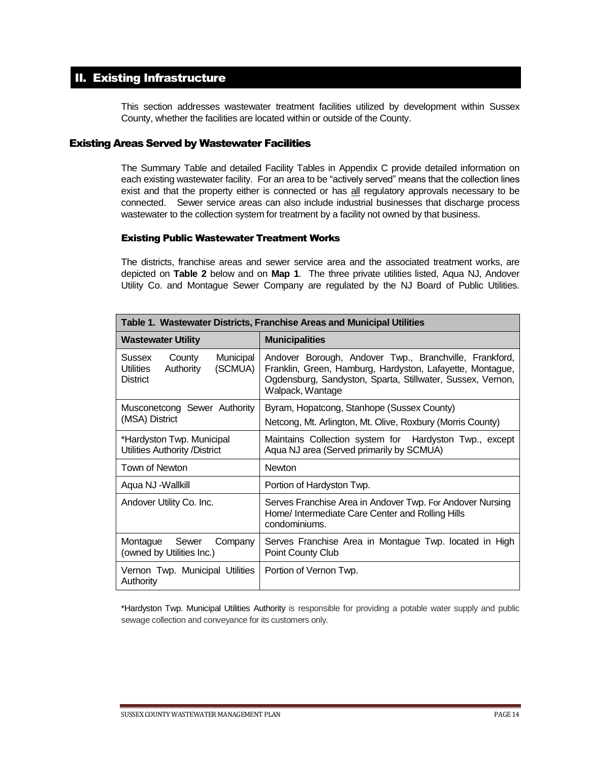## <span id="page-13-0"></span>II. Existing Infrastructure

This section addresses wastewater treatment facilities utilized by development within Sussex County, whether the facilities are located within or outside of the County.

#### <span id="page-13-1"></span>Existing Areas Served by Wastewater Facilities

The Summary Table and detailed Facility Tables in Appendix C provide detailed information on each existing wastewater facility. For an area to be "actively served" means that the collection lines exist and that the property either is connected or has all regulatory approvals necessary to be connected. Sewer service areas can also include industrial businesses that discharge process wastewater to the collection system for treatment by a facility not owned by that business.

#### <span id="page-13-2"></span>Existing Public Wastewater Treatment Works

The districts, franchise areas and sewer service area and the associated treatment works, are depicted on **Table 2** below and on **Map 1**. The three private utilities listed, Aqua NJ, Andover Utility Co. and Montague Sewer Company are regulated by the NJ Board of Public Utilities.

| Table 1. Wastewater Districts, Franchise Areas and Municipal Utilities                |                                                                                                                                                                                                       |  |  |  |  |
|---------------------------------------------------------------------------------------|-------------------------------------------------------------------------------------------------------------------------------------------------------------------------------------------------------|--|--|--|--|
| <b>Wastewater Utility</b>                                                             | <b>Municipalities</b>                                                                                                                                                                                 |  |  |  |  |
| Municipal<br>Sussex<br>County<br>Authority<br>(SCMUA)<br>Utilities<br><b>District</b> | Andover Borough, Andover Twp., Branchville, Frankford,<br>Franklin, Green, Hamburg, Hardyston, Lafayette, Montague,<br>Ogdensburg, Sandyston, Sparta, Stillwater, Sussex, Vernon,<br>Walpack, Wantage |  |  |  |  |
| Musconetcong Sewer Authority<br>(MSA) District                                        | Byram, Hopatcong, Stanhope (Sussex County)<br>Netcong, Mt. Arlington, Mt. Olive, Roxbury (Morris County)                                                                                              |  |  |  |  |
| *Hardyston Twp. Municipal<br><b>Utilities Authority /District</b>                     | Maintains Collection system for Hardyston Twp., except<br>Aqua NJ area (Served primarily by SCMUA)                                                                                                    |  |  |  |  |
| Town of Newton                                                                        | <b>Newton</b>                                                                                                                                                                                         |  |  |  |  |
| Aqua NJ -Wallkill                                                                     | Portion of Hardyston Twp.                                                                                                                                                                             |  |  |  |  |
| Andover Utility Co. Inc.                                                              | Serves Franchise Area in Andover Twp. For Andover Nursing<br>Home/ Intermediate Care Center and Rolling Hills<br>condominiums.                                                                        |  |  |  |  |
| Sewer<br>Company<br>Montague<br>(owned by Utilities Inc.)                             | Serves Franchise Area in Montague Twp. located in High<br>Point County Club                                                                                                                           |  |  |  |  |
| Vernon Twp. Municipal Utilities<br>Authority                                          | Portion of Vernon Twp.                                                                                                                                                                                |  |  |  |  |

\*Hardyston Twp. Municipal Utilities Authority is responsible for providing a potable water supply and public sewage collection and conveyance for its customers only.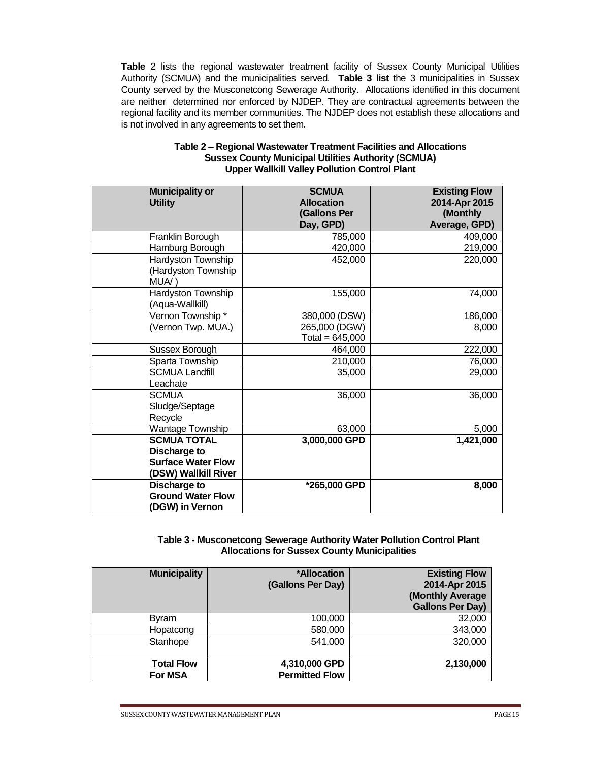<span id="page-14-0"></span>**Table** 2 lists the regional wastewater treatment facility of Sussex County Municipal Utilities Authority (SCMUA) and the municipalities served*.* **Table 3 list** the 3 municipalities in Sussex County served by the Musconetcong Sewerage Authority. Allocations identified in this document are neither determined nor enforced by NJDEP. They are contractual agreements between the regional facility and its member communities. The NJDEP does not establish these allocations and is not involved in any agreements to set them.

| <b>Municipality or</b><br><b>Utility</b>                                                       | <b>SCMUA</b><br><b>Allocation</b><br>(Gallons Per<br>Day, GPD) | <b>Existing Flow</b><br>2014-Apr 2015<br>(Monthly<br>Average, GPD) |
|------------------------------------------------------------------------------------------------|----------------------------------------------------------------|--------------------------------------------------------------------|
| Franklin Borough                                                                               | 785,000                                                        | 409,000                                                            |
| Hamburg Borough                                                                                | 420,000                                                        | 219,000                                                            |
| Hardyston Township<br>(Hardyston Township<br>MUA/)                                             | 452,000                                                        | 220,000                                                            |
| Hardyston Township<br>(Aqua-Wallkill)                                                          | 155,000                                                        | 74,000                                                             |
| Vernon Township*                                                                               | 380,000 (DSW)                                                  | 186,000                                                            |
| (Vernon Twp. MUA.)                                                                             | 265,000 (DGW)<br>Total = $645,000$                             | 8,000                                                              |
| Sussex Borough                                                                                 | 464,000                                                        | 222,000                                                            |
| Sparta Township                                                                                | 210,000                                                        | 76,000                                                             |
| <b>SCMUA Landfill</b><br>Leachate                                                              | 35,000                                                         | 29,000                                                             |
| <b>SCMUA</b><br>Sludge/Septage<br>Recycle                                                      | 36,000                                                         | 36,000                                                             |
| Wantage Township                                                                               | 63,000                                                         | 5,000                                                              |
| <b>SCMUA TOTAL</b><br><b>Discharge to</b><br><b>Surface Water Flow</b><br>(DSW) Wallkill River | 3,000,000 GPD                                                  | 1,421,000                                                          |
| Discharge to<br><b>Ground Water Flow</b><br>(DGW) in Vernon                                    | $*265,000$ GPD                                                 | 8,000                                                              |

#### **Table 2 – Regional Wastewater Treatment Facilities and Allocations Sussex County Municipal Utilities Authority (SCMUA) Upper Wallkill Valley Pollution Control Plant**

#### **Table 3 - Musconetcong Sewerage Authority Water Pollution Control Plant Allocations for Sussex County Municipalities**

| <b>Municipality</b>                 | *Allocation<br>(Gallons Per Day)       | <b>Existing Flow</b><br>2014-Apr 2015<br>(Monthly Average<br><b>Gallons Per Day)</b> |
|-------------------------------------|----------------------------------------|--------------------------------------------------------------------------------------|
| Byram                               | 100,000                                | 32,000                                                                               |
| Hopatcong                           | 580,000                                | 343,000                                                                              |
| Stanhope                            | 541,000                                | 320,000                                                                              |
| <b>Total Flow</b><br><b>For MSA</b> | 4,310,000 GPD<br><b>Permitted Flow</b> | 2,130,000                                                                            |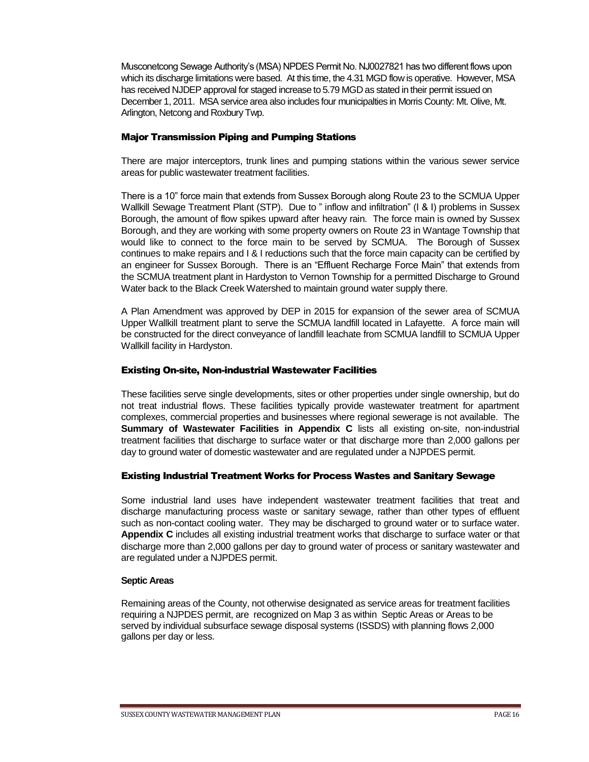Musconetcong Sewage Authority's (MSA) NPDES Permit No. NJ0027821 has two different flows upon which its discharge limitations were based. At this time, the 4.31 MGD flow is operative. However, MSA has received NJDEP approval for staged increase to 5.79 MGD as stated in their permit issued on December 1, 2011. MSA service area also includes four municipalties in Morris County: Mt. Olive, Mt. Arlington, Netcong and Roxbury Twp.

#### Major Transmission Piping and Pumping Stations

There are major interceptors, trunk lines and pumping stations within the various sewer service areas for public wastewater treatment facilities.

There is a 10" force main that extends from Sussex Borough along Route 23 to the SCMUA Upper Wallkill Sewage Treatment Plant (STP). Due to " inflow and infiltration" (I & I) problems in Sussex Borough, the amount of flow spikes upward after heavy rain. The force main is owned by Sussex Borough, and they are working with some property owners on Route 23 in Wantage Township that would like to connect to the force main to be served by SCMUA. The Borough of Sussex continues to make repairs and I & I reductions such that the force main capacity can be certified by an engineer for Sussex Borough. There is an "Effluent Recharge Force Main" that extends from the SCMUA treatment plant in Hardyston to Vernon Township for a permitted Discharge to Ground Water back to the Black Creek Watershed to maintain ground water supply there.

A Plan Amendment was approved by DEP in 2015 for expansion of the sewer area of SCMUA Upper Wallkill treatment plant to serve the SCMUA landfill located in Lafayette. A force main will be constructed for the direct conveyance of landfill leachate from SCMUA landfill to SCMUA Upper Wallkill facility in Hardyston.

#### <span id="page-15-0"></span>Existing On-site, Non-industrial Wastewater Facilities

These facilities serve single developments, sites or other properties under single ownership, but do not treat industrial flows. These facilities typically provide wastewater treatment for apartment complexes, commercial properties and businesses where regional sewerage is not available. The **Summary of Wastewater Facilities in Appendix C** lists all existing on-site, non-industrial treatment facilities that discharge to surface water or that discharge more than 2,000 gallons per day to ground water of domestic wastewater and are regulated under a NJPDES permit.

#### Existing Industrial Treatment Works for Process Wastes and Sanitary Sewage

Some industrial land uses have independent wastewater treatment facilities that treat and discharge manufacturing process waste or sanitary sewage, rather than other types of effluent such as non-contact cooling water. They may be discharged to ground water or to surface water. **Appendix C** includes all existing industrial treatment works that discharge to surface water or that discharge more than 2,000 gallons per day to ground water of process or sanitary wastewater and are regulated under a NJPDES permit.

#### **Septic Areas**

Remaining areas of the County, not otherwise designated as service areas for treatment facilities requiring a NJPDES permit, are recognized on Map 3 as within Septic Areas or Areas to be served by individual subsurface sewage disposal systems (ISSDS) with planning flows 2,000 gallons per day or less.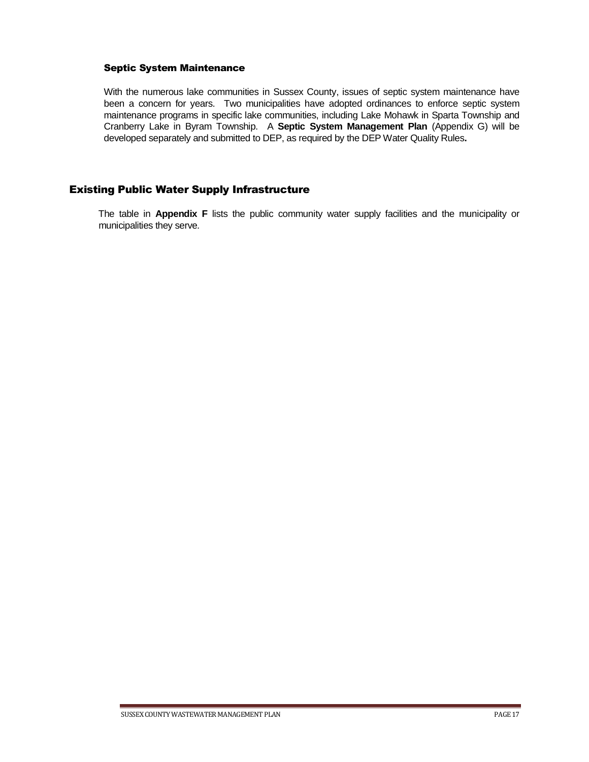#### Septic System Maintenance

With the numerous lake communities in Sussex County, issues of septic system maintenance have been a concern for years. Two municipalities have adopted ordinances to enforce septic system maintenance programs in specific lake communities, including Lake Mohawk in Sparta Township and Cranberry Lake in Byram Township. A **Septic System Management Plan** (Appendix G) will be developed separately and submitted to DEP, as required by the DEP Water Quality Rules**.**

#### Existing Public Water Supply Infrastructure

 The table in **Appendix F** lists the public community water supply facilities and the municipality or municipalities they serve*.*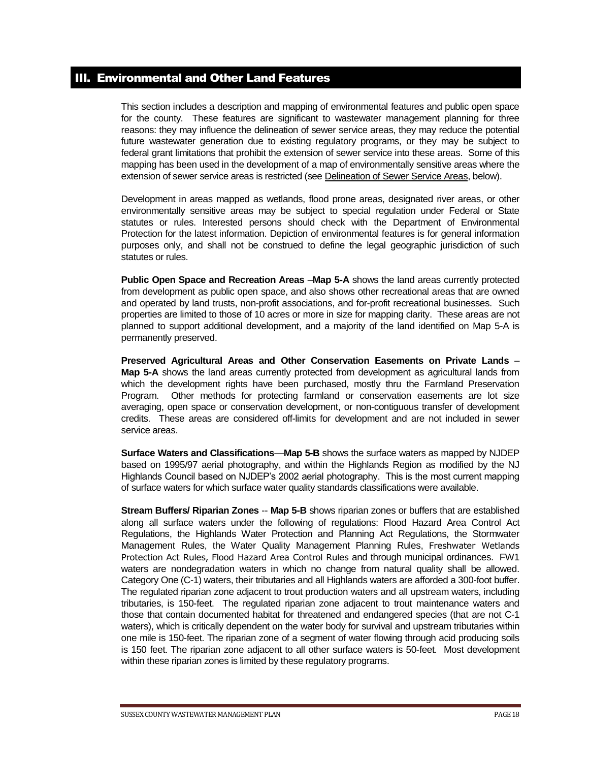## <span id="page-17-0"></span>III. Environmental and Other Land Features

This section includes a description and mapping of environmental features and public open space for the county. These features are significant to wastewater management planning for three reasons: they may influence the delineation of sewer service areas, they may reduce the potential future wastewater generation due to existing regulatory programs, or they may be subject to federal grant limitations that prohibit the extension of sewer service into these areas. Some of this mapping has been used in the development of a map of environmentally sensitive areas where the extension of sewer service areas is restricted (se[e Delineation of Sewer Service Areas,](#page-20-1) below).

Development in areas mapped as wetlands, flood prone areas, designated river areas, or other environmentally sensitive areas may be subject to special regulation under Federal or State statutes or rules. Interested persons should check with the Department of Environmental Protection for the latest information. Depiction of environmental features is for general information purposes only, and shall not be construed to define the legal geographic jurisdiction of such statutes or rules.

**Public Open Space and Recreation Areas** –**Map 5-A** shows the land areas currently protected from development as public open space, and also shows other recreational areas that are owned and operated by land trusts, non-profit associations, and for-profit recreational businesses. Such properties are limited to those of 10 acres or more in size for mapping clarity. These areas are not planned to support additional development, and a majority of the land identified on Map 5-A is permanently preserved.

**Preserved Agricultural Areas and Other Conservation Easements on Private Lands** – **Map 5-A** shows the land areas currently protected from development as agricultural lands from which the development rights have been purchased, mostly thru the Farmland Preservation Program. Other methods for protecting farmland or conservation easements are lot size averaging, open space or conservation development, or non-contiguous transfer of development credits. These areas are considered off-limits for development and are not included in sewer service areas.

**Surface Waters and Classifications**—**Map 5-B** shows the surface waters as mapped by NJDEP based on 1995/97 aerial photography, and within the Highlands Region as modified by the NJ Highlands Council based on NJDEP's 2002 aerial photography. This is the most current mapping of surface waters for which surface water quality standards classifications were available.

**Stream Buffers/ Riparian Zones** -- **Map 5-B** shows riparian zones or buffers that are established along all surface waters under the following of regulations: Flood Hazard Area Control Act Regulations, the Highlands Water Protection and Planning Act Regulations, the Stormwater Management Rules, the Water Quality Management Planning Rules, Freshwater Wetlands Protection Act Rules, Flood Hazard Area Control Rules and through municipal ordinances. FW1 waters are nondegradation waters in which no change from natural quality shall be allowed. Category One (C-1) waters, their tributaries and all Highlands waters are afforded a 300-foot buffer. The regulated riparian zone adjacent to trout production waters and all upstream waters, including tributaries, is 150-feet. The regulated riparian zone adjacent to trout maintenance waters and those that contain documented habitat for threatened and endangered species (that are not C-1 waters), which is critically dependent on the water body for survival and upstream tributaries within one mile is 150-feet. The riparian zone of a segment of water flowing through acid producing soils is 150 feet. The riparian zone adjacent to all other surface waters is 50-feet. Most development within these riparian zones is limited by these regulatory programs.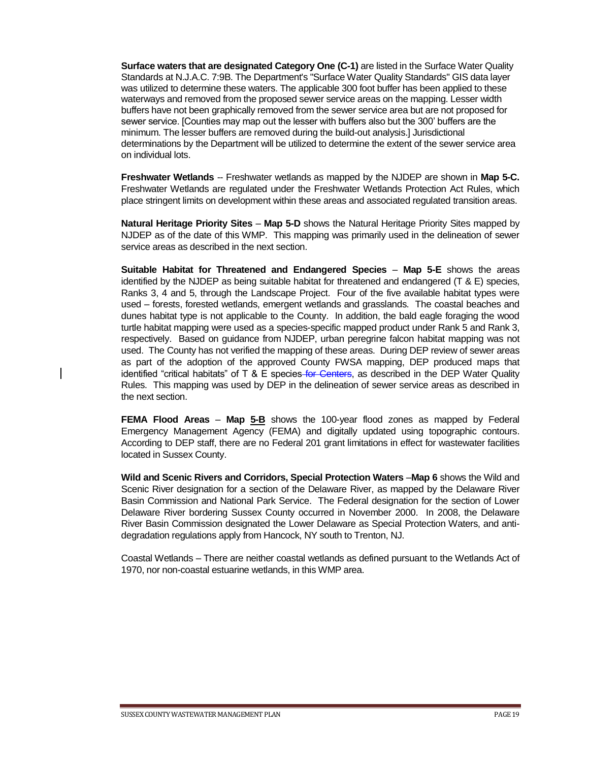**Surface waters that are designated Category One (C-1)** are listed in the Surface Water Quality Standards at N.J.A.C. 7:9B. The Department's "Surface Water Quality Standards" GIS data layer was utilized to determine these waters. The applicable 300 foot buffer has been applied to these waterways and removed from the proposed sewer service areas on the mapping. Lesser width buffers have not been graphically removed from the sewer service area but are not proposed for sewer service. [Counties may map out the lesser with buffers also but the 300' buffers are the minimum. The lesser buffers are removed during the build-out analysis.] Jurisdictional determinations by the Department will be utilized to determine the extent of the sewer service area on individual lots.

**Freshwater Wetlands** -- Freshwater wetlands as mapped by the NJDEP are shown in **Map 5-C.** Freshwater Wetlands are regulated under the Freshwater Wetlands Protection Act Rules, which place stringent limits on development within these areas and associated regulated transition areas.

**Natural Heritage Priority Sites** – **Map 5-D** shows the Natural Heritage Priority Sites mapped by NJDEP as of the date of this WMP. This mapping was primarily used in the delineation of sewer service areas as described in the next section.

**Suitable Habitat for Threatened and Endangered Species** – **Map 5-E** shows the areas identified by the NJDEP as being suitable habitat for threatened and endangered (T & E) species, Ranks 3, 4 and 5, through the Landscape Project. Four of the five available habitat types were used – forests, forested wetlands, emergent wetlands and grasslands. The coastal beaches and dunes habitat type is not applicable to the County. In addition, the bald eagle foraging the wood turtle habitat mapping were used as a species-specific mapped product under Rank 5 and Rank 3, respectively. Based on guidance from NJDEP, urban peregrine falcon habitat mapping was not used. The County has not verified the mapping of these areas. During DEP review of sewer areas as part of the adoption of the approved County FWSA mapping, DEP produced maps that identified "critical habitats" of T & E species for Centers, as described in the DEP Water Quality Rules. This mapping was used by DEP in the delineation of sewer service areas as described in the next section.

**FEMA Flood Areas** – **Map 5-B** shows the 100-year flood zones as mapped by Federal Emergency Management Agency (FEMA) and digitally updated using topographic contours. According to DEP staff, there are no Federal 201 grant limitations in effect for wastewater facilities located in Sussex County.

**Wild and Scenic Rivers and Corridors, Special Protection Waters** –**Map 6** shows the Wild and Scenic River designation for a section of the Delaware River, as mapped by the Delaware River Basin Commission and National Park Service. The Federal designation for the section of Lower Delaware River bordering Sussex County occurred in November 2000. In 2008, the Delaware River Basin Commission designated the Lower Delaware as Special Protection Waters, and antidegradation regulations apply from Hancock, NY south to Trenton, NJ.

Coastal Wetlands – There are neither coastal wetlands as defined pursuant to the Wetlands Act of 1970, nor non-coastal estuarine wetlands, in this WMP area.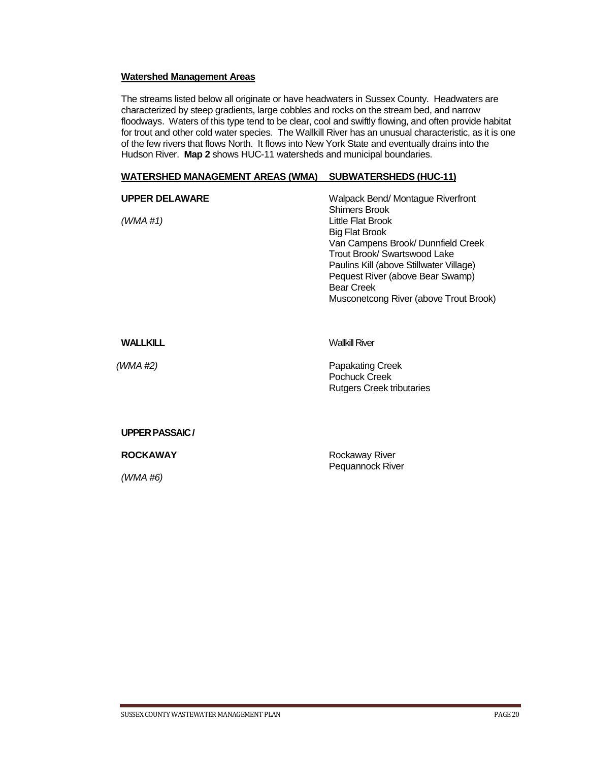#### **Watershed Management Areas**

The streams listed below all originate or have headwaters in Sussex County. Headwaters are characterized by steep gradients, large cobbles and rocks on the stream bed, and narrow floodways. Waters of this type tend to be clear, cool and swiftly flowing, and often provide habitat for trout and other cold water species. The Wallkill River has an unusual characteristic, as it is one of the few rivers that flows North. It flows into New York State and eventually drains into the Hudson River. **Map 2** shows HUC-11 watersheds and municipal boundaries.

#### **WATERSHED MANAGEMENT AREAS (WMA) SUBWATERSHEDS (HUC-11)**

| <b>UPPER DELAWARE</b> | Walpack Bend/ Montague Riverfront<br><b>Shimers Brook</b>                                                                                                                                                     |
|-----------------------|---------------------------------------------------------------------------------------------------------------------------------------------------------------------------------------------------------------|
| (WMA #1)              | Little Flat Brook<br>Big Flat Brook<br>Van Campens Brook/ Dunnfield Creek<br>Trout Brook/ Swartswood Lake<br>Paulins Kill (above Stillwater Village)<br>Pequest River (above Bear Swamp)<br><b>Bear Creek</b> |
|                       | Musconetcong River (above Trout Brook)                                                                                                                                                                        |

| (WMA #2) | Papakating Creek                 |
|----------|----------------------------------|
|          | <b>Pochuck Creek</b>             |
|          | <b>Rutgers Creek tributaries</b> |

**WALLKILL** Wallkill River

#### **UPPER PASSAIC /**

| <b>ROCKAWAY</b> | <b>Rockaway River</b> |
|-----------------|-----------------------|
|                 | Pequannock River      |
|                 |                       |

*(WMA #6)*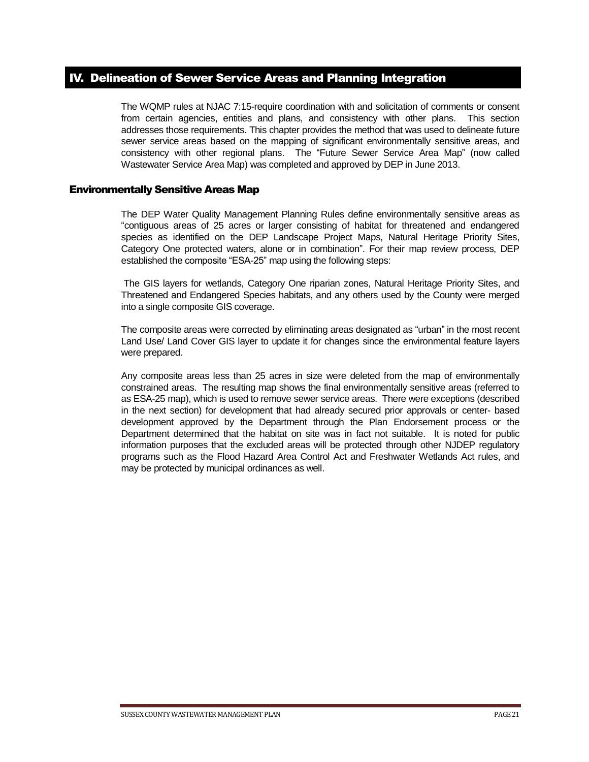## <span id="page-20-0"></span>IV. Delineation of Sewer Service Areas and Planning Integration

The WQMP rules at NJAC 7:15-require coordination with and solicitation of comments or consent from certain agencies, entities and plans, and consistency with other plans. This section addresses those requirements. This chapter provides the method that was used to delineate future sewer service areas based on the mapping of significant environmentally sensitive areas, and consistency with other regional plans. The "Future Sewer Service Area Map" (now called Wastewater Service Area Map) was completed and approved by DEP in June 2013.

#### <span id="page-20-1"></span>Environmentally Sensitive Areas Map

The DEP Water Quality Management Planning Rules define environmentally sensitive areas as "contiguous areas of 25 acres or larger consisting of habitat for threatened and endangered species as identified on the DEP Landscape Project Maps, Natural Heritage Priority Sites, Category One protected waters, alone or in combination". For their map review process, DEP established the composite "ESA-25" map using the following steps:

The GIS layers for wetlands, Category One riparian zones, Natural Heritage Priority Sites, and Threatened and Endangered Species habitats, and any others used by the County were merged into a single composite GIS coverage.

The composite areas were corrected by eliminating areas designated as "urban" in the most recent Land Use/ Land Cover GIS layer to update it for changes since the environmental feature layers were prepared.

Any composite areas less than 25 acres in size were deleted from the map of environmentally constrained areas. The resulting map shows the final environmentally sensitive areas (referred to as ESA-25 map), which is used to remove sewer service areas. There were exceptions (described in the next section) for development that had already secured prior approvals or center- based development approved by the Department through the Plan Endorsement process or the Department determined that the habitat on site was in fact not suitable. It is noted for public information purposes that the excluded areas will be protected through other NJDEP regulatory programs such as the Flood Hazard Area Control Act and Freshwater Wetlands Act rules, and may be protected by municipal ordinances as well.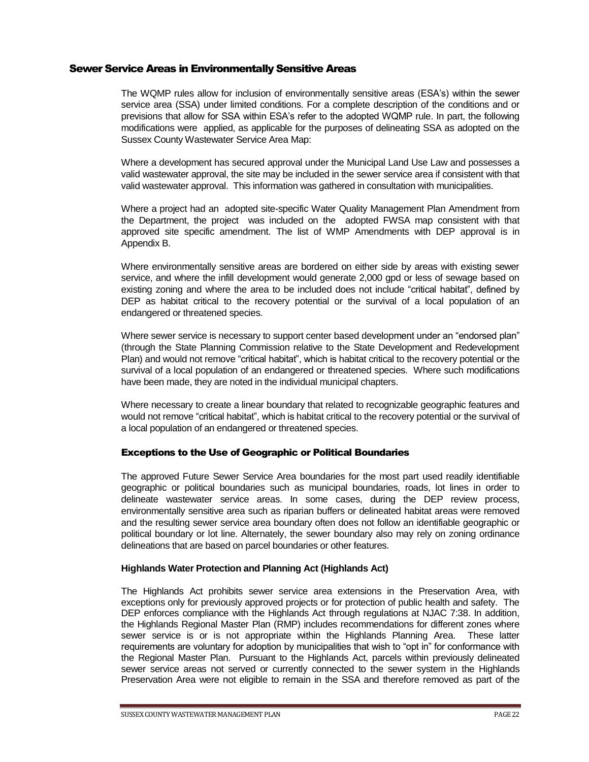#### <span id="page-21-0"></span>Sewer Service Areas in Environmentally Sensitive Areas

The WQMP rules allow for inclusion of environmentally sensitive areas (ESA's) within the sewer service area (SSA) under limited conditions. For a complete description of the conditions and or previsions that allow for SSA within ESA's refer to the adopted WQMP rule. In part, the following modifications were applied, as applicable for the purposes of delineating SSA as adopted on the Sussex County Wastewater Service Area Map:

Where a development has secured approval under the Municipal Land Use Law and possesses a valid wastewater approval, the site may be included in the sewer service area if consistent with that valid wastewater approval. This information was gathered in consultation with municipalities.

Where a project had an adopted site-specific Water Quality Management Plan Amendment from the Department, the project was included on the adopted FWSA map consistent with that approved site specific amendment. The list of WMP Amendments with DEP approval is in Appendix B.

Where environmentally sensitive areas are bordered on either side by areas with existing sewer service, and where the infill development would generate 2,000 gpd or less of sewage based on existing zoning and where the area to be included does not include "critical habitat", defined by DEP as habitat critical to the recovery potential or the survival of a local population of an endangered or threatened species.

Where sewer service is necessary to support center based development under an "endorsed plan" (through the State Planning Commission relative to the State Development and Redevelopment Plan) and would not remove "critical habitat", which is habitat critical to the recovery potential or the survival of a local population of an endangered or threatened species. Where such modifications have been made, they are noted in the individual municipal chapters.

Where necessary to create a linear boundary that related to recognizable geographic features and would not remove "critical habitat", which is habitat critical to the recovery potential or the survival of a local population of an endangered or threatened species.

#### <span id="page-21-1"></span>Exceptions to the Use of Geographic or Political Boundaries

The approved Future Sewer Service Area boundaries for the most part used readily identifiable geographic or political boundaries such as municipal boundaries, roads, lot lines in order to delineate wastewater service areas. In some cases, during the DEP review process, environmentally sensitive area such as riparian buffers or delineated habitat areas were removed and the resulting sewer service area boundary often does not follow an identifiable geographic or political boundary or lot line. Alternately, the sewer boundary also may rely on zoning ordinance delineations that are based on parcel boundaries or other features.

#### <span id="page-21-2"></span>**Highlands Water Protection and Planning Act (Highlands Act)**

The Highlands Act prohibits sewer service area extensions in the Preservation Area, with exceptions only for previously approved projects or for protection of public health and safety. The DEP enforces compliance with the Highlands Act through regulations at NJAC 7:38. In addition, the Highlands Regional Master Plan (RMP) includes recommendations for different zones where sewer service is or is not appropriate within the Highlands Planning Area. These latter requirements are voluntary for adoption by municipalities that wish to "opt in" for conformance with the Regional Master Plan. Pursuant to the Highlands Act, parcels within previously delineated sewer service areas not served or currently connected to the sewer system in the Highlands Preservation Area were not eligible to remain in the SSA and therefore removed as part of the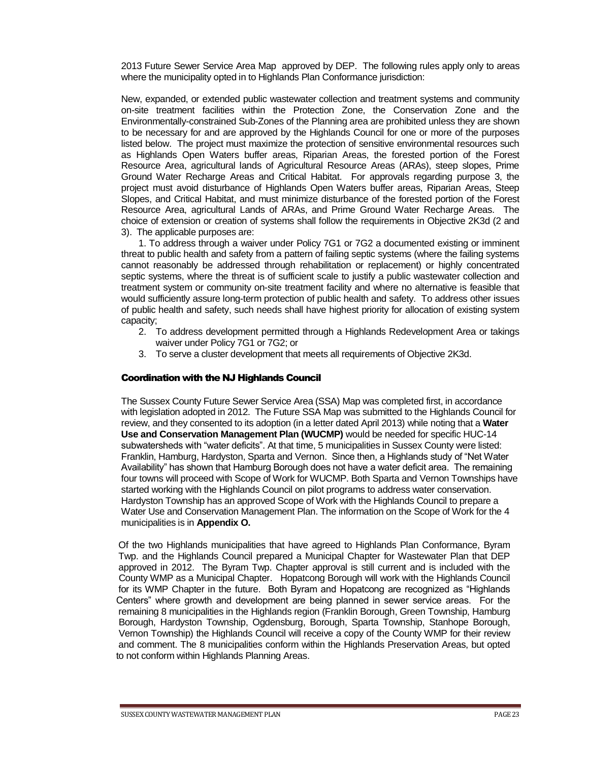2013 Future Sewer Service Area Map approved by DEP. The following rules apply only to areas where the municipality opted in to Highlands Plan Conformance jurisdiction:

New, expanded, or extended public wastewater collection and treatment systems and community on-site treatment facilities within the Protection Zone, the Conservation Zone and the Environmentally-constrained Sub-Zones of the Planning area are prohibited unless they are shown to be necessary for and are approved by the Highlands Council for one or more of the purposes listed below. The project must maximize the protection of sensitive environmental resources such as Highlands Open Waters buffer areas, Riparian Areas, the forested portion of the Forest Resource Area, agricultural lands of Agricultural Resource Areas (ARAs), steep slopes, Prime Ground Water Recharge Areas and Critical Habitat. For approvals regarding purpose 3, the project must avoid disturbance of Highlands Open Waters buffer areas, Riparian Areas, Steep Slopes, and Critical Habitat, and must minimize disturbance of the forested portion of the Forest Resource Area, agricultural Lands of ARAs, and Prime Ground Water Recharge Areas. The choice of extension or creation of systems shall follow the requirements in Objective 2K3d (2 and 3). The applicable purposes are:

1. To address through a waiver under Policy 7G1 or 7G2 a documented existing or imminent threat to public health and safety from a pattern of failing septic systems (where the failing systems cannot reasonably be addressed through rehabilitation or replacement) or highly concentrated septic systems, where the threat is of sufficient scale to justify a public wastewater collection and treatment system or community on-site treatment facility and where no alternative is feasible that would sufficiently assure long-term protection of public health and safety. To address other issues of public health and safety, such needs shall have highest priority for allocation of existing system capacity;

- 2. To address development permitted through a Highlands Redevelopment Area or takings waiver under Policy 7G1 or 7G2; or
- 3. To serve a cluster development that meets all requirements of Objective 2K3d.

#### <span id="page-22-0"></span>Coordination with the NJ Highlands Council

The Sussex County Future Sewer Service Area (SSA) Map was completed first, in accordance with legislation adopted in 2012. The Future SSA Map was submitted to the Highlands Council for review, and they consented to its adoption (in a letter dated April 2013) while noting that a **Water Use and Conservation Management Plan (WUCMP)** would be needed for specific HUC-14 subwatersheds with "water deficits". At that time, 5 municipalities in Sussex County were listed: Franklin, Hamburg, Hardyston, Sparta and Vernon. Since then, a Highlands study of "Net Water Availability" has shown that Hamburg Borough does not have a water deficit area. The remaining four towns will proceed with Scope of Work for WUCMP. Both Sparta and Vernon Townships have started working with the Highlands Council on pilot programs to address water conservation. Hardyston Township has an approved Scope of Work with the Highlands Council to prepare a Water Use and Conservation Management Plan. The information on the Scope of Work for the 4 municipalities is in **Appendix O.**

 Of the two Highlands municipalities that have agreed to Highlands Plan Conformance, Byram Twp. and the Highlands Council prepared a Municipal Chapter for Wastewater Plan that DEP approved in 2012. The Byram Twp. Chapter approval is still current and is included with the County WMP as a Municipal Chapter. Hopatcong Borough will work with the Highlands Council for its WMP Chapter in the future. Both Byram and Hopatcong are recognized as "Highlands Centers" where growth and development are being planned in sewer service areas. For the remaining 8 municipalities in the Highlands region [\(Franklin Borough,](http://www.highlands.state.nj.us/njhighlands/planconformance/franklin_boro.html) [Green Township,](http://www.highlands.state.nj.us/njhighlands/planconformance/green_twp.html) [Hamburg](http://www.highlands.state.nj.us/njhighlands/planconformance/hamburg.html)   [Borough,](http://www.highlands.state.nj.us/njhighlands/planconformance/hamburg.html) [Hardyston Township,](http://www.highlands.state.nj.us/njhighlands/planconformance/hardyston.html) [Ogdensburg, Borough,](http://www.highlands.state.nj.us/njhighlands/planconformance/ogdensburg.html) [Sparta Township,](http://www.highlands.state.nj.us/njhighlands/planconformance/sparta.html) [Stanhope Borough,](http://www.highlands.state.nj.us/njhighlands/planconformance/stanhope.html) [Vernon Township\)](http://www.highlands.state.nj.us/njhighlands/planconformance/vernon_twp.html) the Highlands Council will receive a copy of the County WMP for their review and comment. The 8 municipalities conform within the Highlands Preservation Areas, but opted to not conform within Highlands Planning Areas.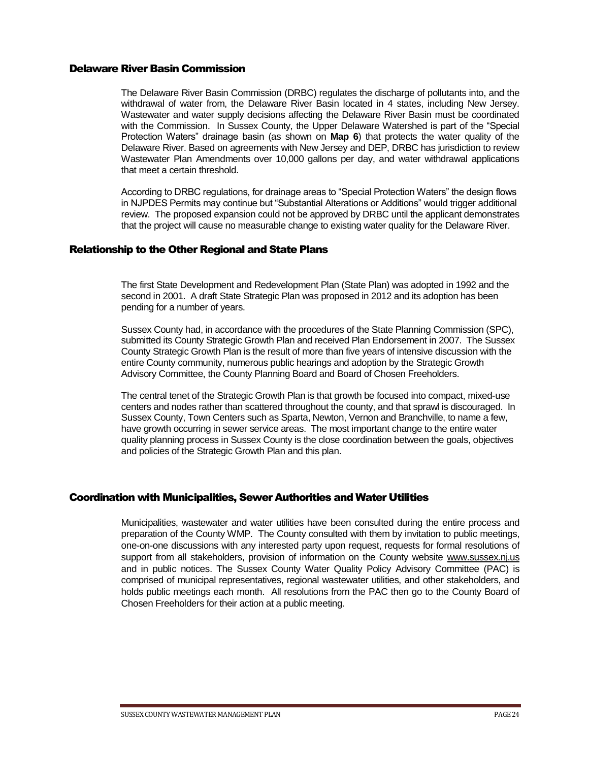#### <span id="page-23-0"></span>Delaware River Basin Commission

The Delaware River Basin Commission (DRBC) regulates the discharge of pollutants into, and the withdrawal of water from, the Delaware River Basin located in 4 states, including New Jersey. Wastewater and water supply decisions affecting the Delaware River Basin must be coordinated with the Commission. In Sussex County, the Upper Delaware Watershed is part of the "Special Protection Waters" drainage basin (as shown on **Map 6**) that protects the water quality of the Delaware River. Based on agreements with New Jersey and DEP, DRBC has jurisdiction to review Wastewater Plan Amendments over 10,000 gallons per day, and water withdrawal applications that meet a certain threshold.

According to DRBC regulations, for drainage areas to "Special Protection Waters" the design flows in NJPDES Permits may continue but "Substantial Alterations or Additions" would trigger additional review. The proposed expansion could not be approved by DRBC until the applicant demonstrates that the project will cause no measurable change to existing water quality for the Delaware River.

#### <span id="page-23-1"></span>Relationship to the Other Regional and State Plans

The first State Development and Redevelopment Plan (State Plan) was adopted in 1992 and the second in 2001. A draft State Strategic Plan was proposed in 2012 and its adoption has been pending for a number of years.

Sussex County had, in accordance with the procedures of the State Planning Commission (SPC), submitted its County Strategic Growth Plan and received Plan Endorsement in 2007. The Sussex County Strategic Growth Plan is the result of more than five years of intensive discussion with the entire County community, numerous public hearings and adoption by the Strategic Growth Advisory Committee, the County Planning Board and Board of Chosen Freeholders.

The central tenet of the Strategic Growth Plan is that growth be focused into compact, mixed-use centers and nodes rather than scattered throughout the county, and that sprawl is discouraged. In Sussex County, Town Centers such as Sparta, Newton, Vernon and Branchville, to name a few, have growth occurring in sewer service areas. The most important change to the entire water quality planning process in Sussex County is the close coordination between the goals, objectives and policies of the Strategic Growth Plan and this plan.

#### <span id="page-23-2"></span>Coordination with Municipalities, Sewer Authorities and Water Utilities

<span id="page-23-3"></span>Municipalities, wastewater and water utilities have been consulted during the entire process and preparation of the County WMP. The County consulted with them by invitation to public meetings, one-on-one discussions with any interested party upon request, requests for formal resolutions of support from all stakeholders, provision of information on the County website www.sussex.nj.us and in public notices. The Sussex County Water Quality Policy Advisory Committee (PAC) is comprised of municipal representatives, regional wastewater utilities, and other stakeholders, and holds public meetings each month. All resolutions from the PAC then go to the County Board of Chosen Freeholders for their action at a public meeting.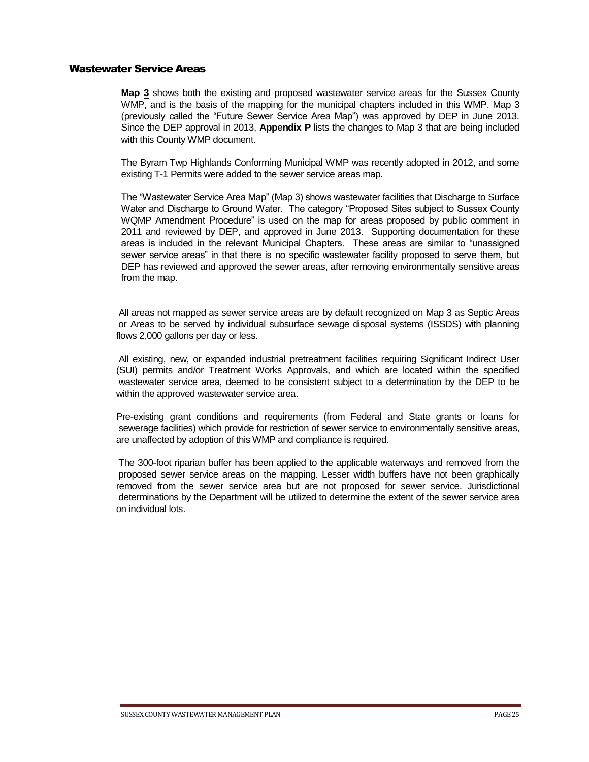#### Wastewater Service Areas

**Map 3** shows both the existing and proposed wastewater service areas for the Sussex County WMP, and is the basis of the mapping for the municipal chapters included in this WMP. Map 3 (previously called the "Future Sewer Service Area Map") was approved by DEP in June 2013. Since the DEP approval in 2013, **Appendix P** lists the changes to Map 3 that are being included with this County WMP document.

The Byram Twp Highlands Conforming Municipal WMP was recently adopted in 2012, and some existing T-1 Permits were added to the sewer service areas map.

The "Wastewater Service Area Map" (Map 3) shows wastewater facilities that Discharge to Surface Water and Discharge to Ground Water. The category "Proposed Sites subject to Sussex County WQMP Amendment Procedure" is used on the map for areas proposed by public comment in 2011 and reviewed by DEP, and approved in June 2013. Supporting documentation for these areas is included in the relevant Municipal Chapters. These areas are similar to "unassigned sewer service areas" in that there is no specific wastewater facility proposed to serve them, but DEP has reviewed and approved the sewer areas, after removing environmentally sensitive areas from the map.

 All areas not mapped as sewer service areas are by default recognized on Map 3 as Septic Areas or Areas to be served by individual subsurface sewage disposal systems (ISSDS) with planning flows 2,000 gallons per day or less.

 All existing, new, or expanded industrial pretreatment facilities requiring Significant Indirect User (SUI) permits and/or Treatment Works Approvals, and which are located within the specified wastewater service area, deemed to be consistent subject to a determination by the DEP to be within the approved wastewater service area.

 Pre-existing grant conditions and requirements (from Federal and State grants or loans for sewerage facilities) which provide for restriction of sewer service to environmentally sensitive areas, are unaffected by adoption of this WMP and compliance is required.

 The 300-foot riparian buffer has been applied to the applicable waterways and removed from the proposed sewer service areas on the mapping. Lesser width buffers have not been graphically removed from the sewer service area but are not proposed for sewer service. Jurisdictional determinations by the Department will be utilized to determine the extent of the sewer service area on individual lots.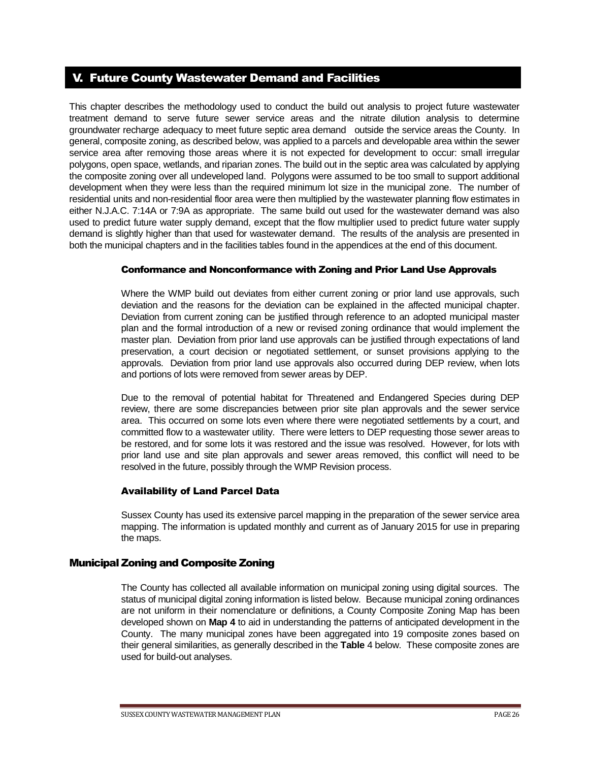## <span id="page-25-0"></span>V. Future County Wastewater Demand and Facilities

This chapter describes the methodology used to conduct the build out analysis to project future wastewater treatment demand to serve future sewer service areas and the nitrate dilution analysis to determine groundwater recharge adequacy to meet future septic area demand outside the service areas the County. In general, composite zoning, as described below, was applied to a parcels and developable area within the sewer service area after removing those areas where it is not expected for development to occur: small irregular polygons, open space, wetlands, and riparian zones. The build out in the septic area was calculated by applying the composite zoning over all undeveloped land. Polygons were assumed to be too small to support additional development when they were less than the required minimum lot size in the municipal zone. The number of residential units and non-residential floor area were then multiplied by the wastewater planning flow estimates in either N.J.A.C. 7:14A or 7:9A as appropriate. The same build out used for the wastewater demand was also used to predict future water supply demand, except that the flow multiplier used to predict future water supply demand is slightly higher than that used for wastewater demand. The results of the analysis are presented in both the municipal chapters and in the facilities tables found in the appendices at the end of this document.

#### <span id="page-25-1"></span>Conformance and Nonconformance with Zoning and Prior Land Use Approvals

Where the WMP build out deviates from either current zoning or prior land use approvals, such deviation and the reasons for the deviation can be explained in the affected municipal chapter. Deviation from current zoning can be justified through reference to an adopted municipal master plan and the formal introduction of a new or revised zoning ordinance that would implement the master plan. Deviation from prior land use approvals can be justified through expectations of land preservation, a court decision or negotiated settlement, or sunset provisions applying to the approvals. Deviation from prior land use approvals also occurred during DEP review, when lots and portions of lots were removed from sewer areas by DEP.

Due to the removal of potential habitat for Threatened and Endangered Species during DEP review, there are some discrepancies between prior site plan approvals and the sewer service area. This occurred on some lots even where there were negotiated settlements by a court, and committed flow to a wastewater utility. There were letters to DEP requesting those sewer areas to be restored, and for some lots it was restored and the issue was resolved. However, for lots with prior land use and site plan approvals and sewer areas removed, this conflict will need to be resolved in the future, possibly through the WMP Revision process.

#### Availability of Land Parcel Data

Sussex County has used its extensive parcel mapping in the preparation of the sewer service area mapping. The information is updated monthly and current as of January 2015 for use in preparing the maps.

#### <span id="page-25-2"></span>Municipal Zoning and Composite Zoning

The County has collected all available information on municipal zoning using digital sources. The status of municipal digital zoning information is listed below. Because municipal zoning ordinances are not uniform in their nomenclature or definitions, a County Composite Zoning Map has been developed shown on **Map 4** to aid in understanding the patterns of anticipated development in the County. The many municipal zones have been aggregated into 19 composite zones based on their general similarities, as generally described in the **Table** 4 below. These composite zones are used for build-out analyses.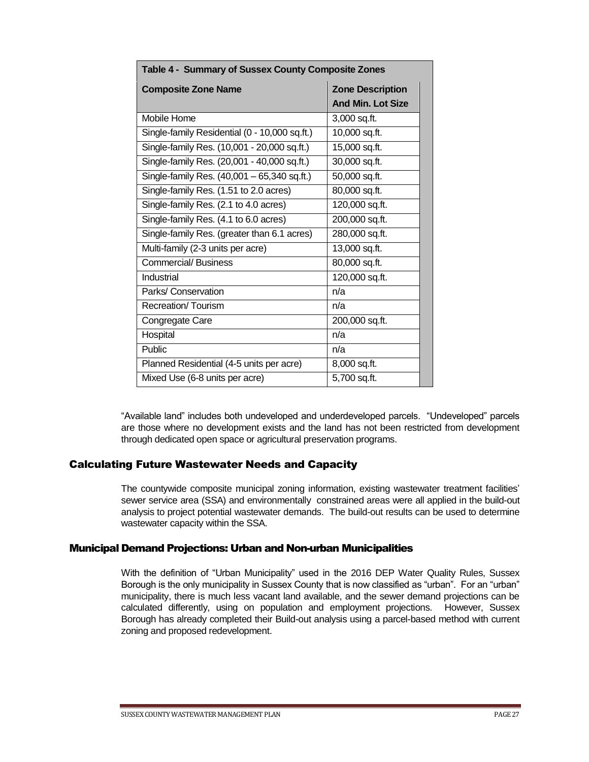| Table 4 - Summary of Sussex County Composite Zones |                          |  |  |  |  |  |
|----------------------------------------------------|--------------------------|--|--|--|--|--|
| <b>Composite Zone Name</b>                         | <b>Zone Description</b>  |  |  |  |  |  |
|                                                    | <b>And Min. Lot Size</b> |  |  |  |  |  |
| Mobile Home                                        | 3,000 sq.ft.             |  |  |  |  |  |
| Single-family Residential (0 - 10,000 sq.ft.)      | 10,000 sq.ft.            |  |  |  |  |  |
| Single-family Res. (10,001 - 20,000 sq.ft.)        | 15,000 sq.ft.            |  |  |  |  |  |
| Single-family Res. (20,001 - 40,000 sq.ft.)        | 30,000 sq.ft.            |  |  |  |  |  |
| Single-family Res. (40,001 - 65,340 sq.ft.)        | 50,000 sq.ft.            |  |  |  |  |  |
| Single-family Res. (1.51 to 2.0 acres)             | 80,000 sq.ft.            |  |  |  |  |  |
| Single-family Res. (2.1 to 4.0 acres)              | 120,000 sq.ft.           |  |  |  |  |  |
| Single-family Res. (4.1 to 6.0 acres)              | 200,000 sq.ft.           |  |  |  |  |  |
| Single-family Res. (greater than 6.1 acres)        | 280,000 sq.ft.           |  |  |  |  |  |
| Multi-family (2-3 units per acre)                  | 13,000 sq.ft.            |  |  |  |  |  |
| <b>Commercial/Business</b>                         | 80,000 sq.ft.            |  |  |  |  |  |
| Industrial                                         | 120,000 sq.ft.           |  |  |  |  |  |
| Parks/Conservation                                 | n/a                      |  |  |  |  |  |
| Recreation/Tourism                                 | n/a                      |  |  |  |  |  |
| Congregate Care                                    | 200,000 sq.ft.           |  |  |  |  |  |
| Hospital                                           | n/a                      |  |  |  |  |  |
| Public                                             | n/a                      |  |  |  |  |  |
| Planned Residential (4-5 units per acre)           | 8,000 sq.ft.             |  |  |  |  |  |
| Mixed Use (6-8 units per acre)                     | 5,700 sq.ft.             |  |  |  |  |  |

"Available land" includes both undeveloped and underdeveloped parcels. "Undeveloped" parcels are those where no development exists and the land has not been restricted from development through dedicated open space or agricultural preservation programs.

## Calculating Future Wastewater Needs and Capacity

The countywide composite municipal zoning information, existing wastewater treatment facilities' sewer service area (SSA) and environmentally constrained areas were all applied in the build-out analysis to project potential wastewater demands. The build-out results can be used to determine wastewater capacity within the SSA.

#### Municipal Demand Projections: Urban and Non-urban Municipalities

With the definition of "Urban Municipality" used in the 2016 DEP Water Quality Rules, Sussex Borough is the only municipality in Sussex County that is now classified as "urban". For an "urban" municipality, there is much less vacant land available, and the sewer demand projections can be calculated differently, using on population and employment projections. However, Sussex Borough has already completed their Build-out analysis using a parcel-based method with current zoning and proposed redevelopment.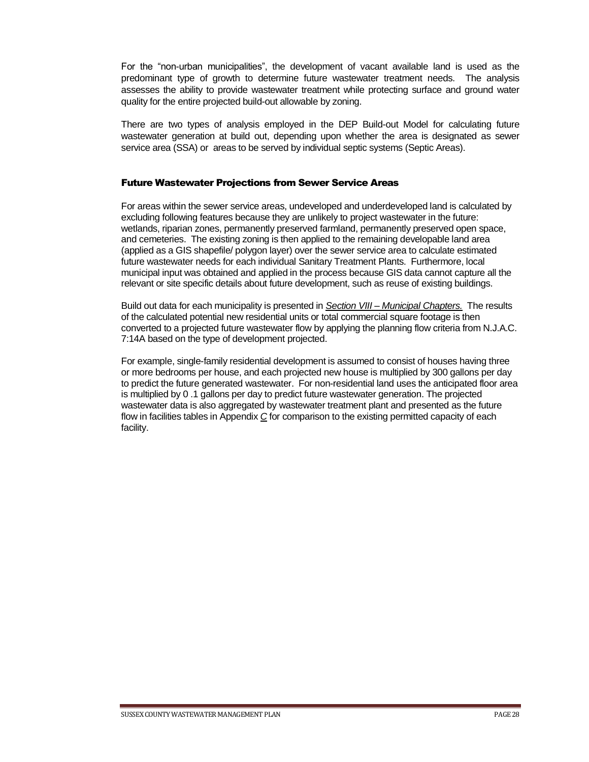For the "non-urban municipalities", the development of vacant available land is used as the predominant type of growth to determine future wastewater treatment needs. The analysis assesses the ability to provide wastewater treatment while protecting surface and ground water quality for the entire projected build-out allowable by zoning.

There are two types of analysis employed in the DEP Build-out Model for calculating future wastewater generation at build out, depending upon whether the area is designated as sewer service area (SSA) or areas to be served by individual septic systems (Septic Areas).

#### <span id="page-27-0"></span>Future Wastewater Projections from Sewer Service Areas

For areas within the sewer service areas, undeveloped and underdeveloped land is calculated by excluding following features because they are unlikely to project wastewater in the future: wetlands, riparian zones, permanently preserved farmland, permanently preserved open space, and cemeteries. The existing zoning is then applied to the remaining developable land area (applied as a GIS shapefile/ polygon layer) over the sewer service area to calculate estimated future wastewater needs for each individual Sanitary Treatment Plants. Furthermore, local municipal input was obtained and applied in the process because GIS data cannot capture all the relevant or site specific details about future development, such as reuse of existing buildings.

Build out data for each municipality is presented in *Section VIII – Municipal Chapters.* The results of the calculated potential new residential units or total commercial square footage is then converted to a projected future wastewater flow by applying the planning flow criteria from N.J.A.C. 7:14A based on the type of development projected.

<span id="page-27-1"></span>For example, single-family residential development is assumed to consist of houses having three or more bedrooms per house, and each projected new house is multiplied by 300 gallons per day to predict the future generated wastewater. For non-residential land uses the anticipated floor area is multiplied by 0 .1 gallons per day to predict future wastewater generation. The projected wastewater data is also aggregated by wastewater treatment plant and presented as the future flow in facilities tables in Appendix *C* for comparison to the existing permitted capacity of each facility.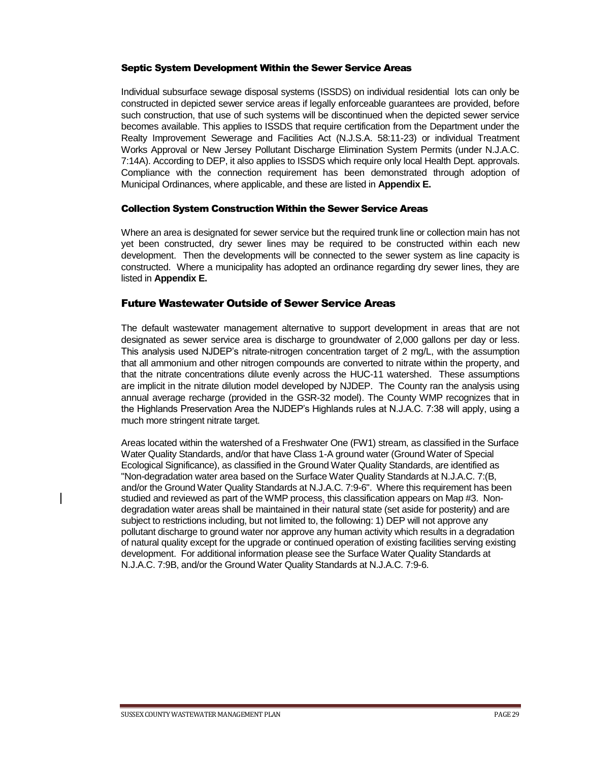#### Septic System Development Within the Sewer Service Areas

Individual subsurface sewage disposal systems (ISSDS) on individual residential lots can only be constructed in depicted sewer service areas if legally enforceable guarantees are provided, before such construction, that use of such systems will be discontinued when the depicted sewer service becomes available. This applies to ISSDS that require certification from the Department under the Realty Improvement Sewerage and Facilities Act (N.J.S.A. 58:11-23) or individual Treatment Works Approval or New Jersey Pollutant Discharge Elimination System Permits (under N.J.A.C. 7:14A). According to DEP, it also applies to ISSDS which require only local Health Dept. approvals. Compliance with the connection requirement has been demonstrated through adoption of Municipal Ordinances, where applicable, and these are listed in **Appendix E.**

#### <span id="page-28-0"></span>Collection System Construction Within the Sewer Service Areas

Where an area is designated for sewer service but the required trunk line or collection main has not yet been constructed, dry sewer lines may be required to be constructed within each new development. Then the developments will be connected to the sewer system as line capacity is constructed. Where a municipality has adopted an ordinance regarding dry sewer lines, they are listed in **Appendix E.**

#### <span id="page-28-1"></span>Future Wastewater Outside of Sewer Service Areas

The default wastewater management alternative to support development in areas that are not designated as sewer service area is discharge to groundwater of 2,000 gallons per day or less. This analysis used NJDEP's nitrate-nitrogen concentration target of 2 mg/L, with the assumption that all ammonium and other nitrogen compounds are converted to nitrate within the property, and that the nitrate concentrations dilute evenly across the HUC-11 watershed. These assumptions are implicit in the nitrate dilution model developed by NJDEP. The County ran the analysis using annual average recharge (provided in the GSR-32 model). The County WMP recognizes that in the Highlands Preservation Area the NJDEP's Highlands rules at N.J.A.C. 7:38 will apply, using a much more stringent nitrate target.

<span id="page-28-2"></span>Areas located within the watershed of a Freshwater One (FW1) stream, as classified in the Surface Water Quality Standards, and/or that have Class 1-A ground water (Ground Water of Special Ecological Significance), as classified in the Ground Water Quality Standards, are identified as "Non-degradation water area based on the Surface Water Quality Standards at N.J.A.C. 7:(B, and/or the Ground Water Quality Standards at N.J.A.C. 7:9-6". Where this requirement has been studied and reviewed as part of the WMP process, this classification appears on Map #3. Nondegradation water areas shall be maintained in their natural state (set aside for posterity) and are subject to restrictions including, but not limited to, the following: 1) DEP will not approve any pollutant discharge to ground water nor approve any human activity which results in a degradation of natural quality except for the upgrade or continued operation of existing facilities serving existing development. For additional information please see the Surface Water Quality Standards at N.J.A.C. 7:9B, and/or the Ground Water Quality Standards at N.J.A.C. 7:9-6.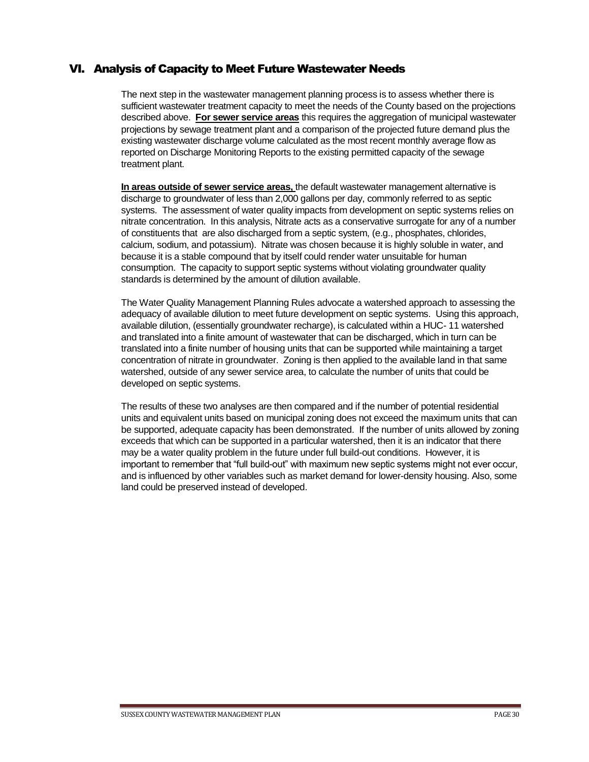## VI. Analysis of Capacity to Meet Future Wastewater Needs

The next step in the wastewater management planning process is to assess whether there is sufficient wastewater treatment capacity to meet the needs of the County based on the projections described above. **For sewer service areas** this requires the aggregation of municipal wastewater projections by sewage treatment plant and a comparison of the projected future demand plus the existing wastewater discharge volume calculated as the most recent monthly average flow as reported on Discharge Monitoring Reports to the existing permitted capacity of the sewage treatment plant.

**In areas outside of sewer service areas,** the default wastewater management alternative is discharge to groundwater of less than 2,000 gallons per day, commonly referred to as septic systems. The assessment of water quality impacts from development on septic systems relies on nitrate concentration. In this analysis, Nitrate acts as a conservative surrogate for any of a number of constituents that are also discharged from a septic system, (e.g., phosphates, chlorides, calcium, sodium, and potassium). Nitrate was chosen because it is highly soluble in water, and because it is a stable compound that by itself could render water unsuitable for human consumption. The capacity to support septic systems without violating groundwater quality standards is determined by the amount of dilution available.

The Water Quality Management Planning Rules advocate a watershed approach to assessing the adequacy of available dilution to meet future development on septic systems. Using this approach, available dilution, (essentially groundwater recharge), is calculated within a HUC- 11 watershed and translated into a finite amount of wastewater that can be discharged, which in turn can be translated into a finite number of housing units that can be supported while maintaining a target concentration of nitrate in groundwater. Zoning is then applied to the available land in that same watershed, outside of any sewer service area, to calculate the number of units that could be developed on septic systems.

The results of these two analyses are then compared and if the number of potential residential units and equivalent units based on municipal zoning does not exceed the maximum units that can be supported, adequate capacity has been demonstrated. If the number of units allowed by zoning exceeds that which can be supported in a particular watershed, then it is an indicator that there may be a water quality problem in the future under full build-out conditions. However, it is important to remember that "full build-out" with maximum new septic systems might not ever occur, and is influenced by other variables such as market demand for lower-density housing. Also, some land could be preserved instead of developed.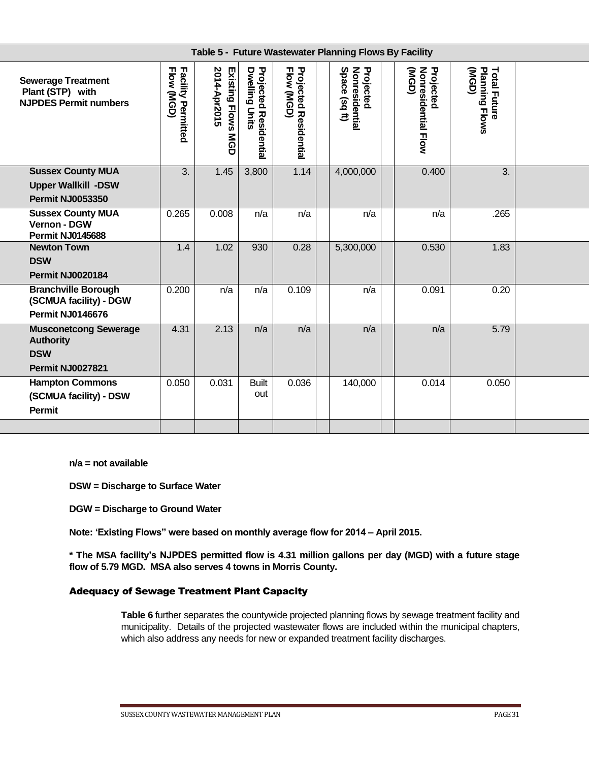|                                                                                           | Table 5 - Future Wastewater Planning Flows By Facility |                                              |                                        |                                            |  |                                              |  |                                           |                                                |  |
|-------------------------------------------------------------------------------------------|--------------------------------------------------------|----------------------------------------------|----------------------------------------|--------------------------------------------|--|----------------------------------------------|--|-------------------------------------------|------------------------------------------------|--|
| <b>Sewerage Treatment</b><br>Plant (STP) with<br><b>NJPDES Permit numbers</b>             | Facility Permitted<br>Flow (MGD)                       | 2014-Apr2015<br>Existing Flows<br><b>NGD</b> | Projected Residentia<br>Dwelling Units | <b>Projected Residential</b><br>Flow (MGD) |  | Projected<br>Nonresidential<br>Space (sq ft) |  | Projected<br>Nonresidential Flow<br>(MGD) | <b>Planning Flows</b><br>(MGD)<br>Total Future |  |
| <b>Sussex County MUA</b><br><b>Upper Wallkill -DSW</b><br><b>Permit NJ0053350</b>         | 3.                                                     | 1.45                                         | 3,800                                  | 1.14                                       |  | 4,000,000                                    |  | 0.400                                     | 3.                                             |  |
| <b>Sussex County MUA</b><br>Vernon - DGW<br><b>Permit NJ0145688</b>                       | 0.265                                                  | 0.008                                        | n/a                                    | n/a                                        |  | n/a                                          |  | n/a                                       | .265                                           |  |
| <b>Newton Town</b><br><b>DSW</b><br><b>Permit NJ0020184</b>                               | 1.4                                                    | 1.02                                         | 930                                    | 0.28                                       |  | 5,300,000                                    |  | 0.530                                     | 1.83                                           |  |
| <b>Branchville Borough</b><br>(SCMUA facility) - DGW<br><b>Permit NJ0146676</b>           | 0.200                                                  | n/a                                          | n/a                                    | 0.109                                      |  | n/a                                          |  | 0.091                                     | 0.20                                           |  |
| <b>Musconetcong Sewerage</b><br><b>Authority</b><br><b>DSW</b><br><b>Permit NJ0027821</b> | 4.31                                                   | 2.13                                         | n/a                                    | n/a                                        |  | n/a                                          |  | n/a                                       | 5.79                                           |  |
| <b>Hampton Commons</b><br>(SCMUA facility) - DSW<br><b>Permit</b>                         | 0.050                                                  | 0.031                                        | <b>Built</b><br>out                    | 0.036                                      |  | 140,000                                      |  | 0.014                                     | 0.050                                          |  |
|                                                                                           |                                                        |                                              |                                        |                                            |  |                                              |  |                                           |                                                |  |

**n/a = not available**

**DSW = Discharge to Surface Water**

**DGW = Discharge to Ground Water**

**Note: 'Existing Flows" were based on monthly average flow for 2014 – April 2015.**

**\* The MSA facility's NJPDES permitted flow is 4.31 million gallons per day (MGD) with a future stage flow of 5.79 MGD. MSA also serves 4 towns in Morris County.**

#### Adequacy of Sewage Treatment Plant Capacity

**Table 6** further separates the countywide projected planning flows by sewage treatment facility and municipality. Details of the projected wastewater flows are included within the municipal chapters, which also address any needs for new or expanded treatment facility discharges.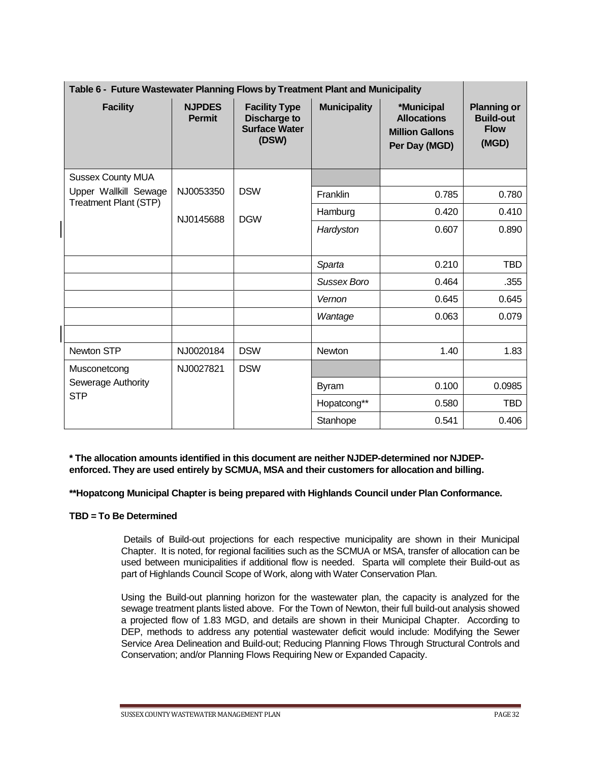| Table 6 - Future Wastewater Planning Flows by Treatment Plant and Municipality |                                |                                                                              |                     |                                                                             |                                                                |
|--------------------------------------------------------------------------------|--------------------------------|------------------------------------------------------------------------------|---------------------|-----------------------------------------------------------------------------|----------------------------------------------------------------|
| <b>Facility</b>                                                                | <b>NJPDES</b><br><b>Permit</b> | <b>Facility Type</b><br><b>Discharge to</b><br><b>Surface Water</b><br>(DSW) | <b>Municipality</b> | *Municipal<br><b>Allocations</b><br><b>Million Gallons</b><br>Per Day (MGD) | <b>Planning or</b><br><b>Build-out</b><br><b>Flow</b><br>(MGD) |
| <b>Sussex County MUA</b>                                                       |                                |                                                                              |                     |                                                                             |                                                                |
| Upper Wallkill Sewage<br><b>Treatment Plant (STP)</b>                          | NJ0053350                      | <b>DSW</b>                                                                   | Franklin            | 0.785                                                                       | 0.780                                                          |
|                                                                                | NJ0145688                      | <b>DGW</b>                                                                   | Hamburg             | 0.420                                                                       | 0.410                                                          |
|                                                                                |                                |                                                                              | Hardyston           | 0.607                                                                       | 0.890                                                          |
|                                                                                |                                |                                                                              | Sparta              | 0.210                                                                       | <b>TBD</b>                                                     |
|                                                                                |                                |                                                                              | <b>Sussex Boro</b>  | 0.464                                                                       | .355                                                           |
|                                                                                |                                |                                                                              | Vernon              | 0.645                                                                       | 0.645                                                          |
|                                                                                |                                |                                                                              | Wantage             | 0.063                                                                       | 0.079                                                          |
|                                                                                |                                |                                                                              |                     |                                                                             |                                                                |
| Newton STP                                                                     | NJ0020184                      | <b>DSW</b>                                                                   | <b>Newton</b>       | 1.40                                                                        | 1.83                                                           |
| Musconetcong                                                                   | NJ0027821                      | <b>DSW</b>                                                                   |                     |                                                                             |                                                                |
| Sewerage Authority                                                             |                                |                                                                              | <b>Byram</b>        | 0.100                                                                       | 0.0985                                                         |
| <b>STP</b>                                                                     |                                |                                                                              | Hopatcong**         | 0.580                                                                       | TBD                                                            |
|                                                                                |                                |                                                                              | Stanhope            | 0.541                                                                       | 0.406                                                          |

**\* The allocation amounts identified in this document are neither NJDEP-determined nor NJDEPenforced. They are used entirely by SCMUA, MSA and their customers for allocation and billing.**

**\*\*Hopatcong Municipal Chapter is being prepared with Highlands Council under Plan Conformance.**

#### **TBD = To Be Determined**

Details of Build-out projections for each respective municipality are shown in their Municipal Chapter. It is noted, for regional facilities such as the SCMUA or MSA, transfer of allocation can be used between municipalities if additional flow is needed. Sparta will complete their Build-out as part of Highlands Council Scope of Work, along with Water Conservation Plan.

Using the Build-out planning horizon for the wastewater plan, the capacity is analyzed for the sewage treatment plants listed above. For the Town of Newton, their full build-out analysis showed a projected flow of 1.83 MGD, and details are shown in their Municipal Chapter. According to DEP, methods to address any potential wastewater deficit would include: Modifying the Sewer Service Area Delineation and Build-out; Reducing Planning Flows Through Structural Controls and Conservation; and/or Planning Flows Requiring New or Expanded Capacity.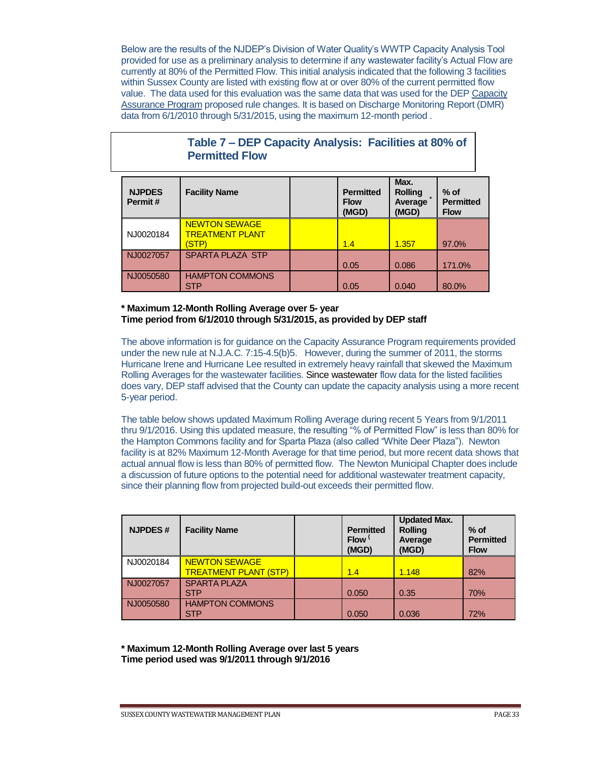Below are the results of the NJDEP's Division of Water Quality's WWTP Capacity Analysis Tool provided for use as a preliminary analysis to determine if any wastewater facility's Actual Flow are currently at 80% of the Permitted Flow. This initial analysis indicated that the following 3 facilities within Sussex County are listed with existing flow at or over 80% of the current permitted flow value. The data used for this evaluation was the same data that was used for the DEP Capacity Assurance Program proposed rule changes. It is based on Discharge Monitoring Report (DMR) data from 6/1/2010 through 5/31/2015, using the maximum 12-month period .

**Table 7 – DEP Capacity Analysis: Facilities at 80% of** 

|                          | <b>Permitted Flow</b>                                   |                                          |                                            |                                           |
|--------------------------|---------------------------------------------------------|------------------------------------------|--------------------------------------------|-------------------------------------------|
| <b>NJPDES</b><br>Permit# | <b>Facility Name</b>                                    | <b>Permitted</b><br><b>Flow</b><br>(MGD) | Max.<br><b>Rolling</b><br>Average<br>(MGD) | $%$ of<br><b>Permitted</b><br><b>Flow</b> |
| NJ0020184                | <b>NEWTON SEWAGE</b><br><b>TREATMENT PLANT</b><br>(STP) | 1.4                                      | 1.357                                      | 97.0%                                     |
| NJ0027057                | <b>SPARTA PLAZA STP</b>                                 | 0.05                                     | 0.086                                      | 171.0%                                    |
| NJ0050580                | <b>HAMPTON COMMONS</b><br><b>STP</b>                    | 0.05                                     | 0.040                                      | 80.0%                                     |

#### **\* Maximum 12-Month Rolling Average over 5- year Time period from 6/1/2010 through 5/31/2015, as provided by DEP staff**

The above information is for guidance on the Capacity Assurance Program requirements provided under the new rule at N.J.A.C. 7:15-4.5(b)5. However, during the summer of 2011, the storms Hurricane Irene and Hurricane Lee resulted in extremely heavy rainfall that skewed the Maximum Rolling Averages for the wastewater facilities. Since wastewater flow data for the listed facilities does vary, DEP staff advised that the County can update the capacity analysis using a more recent 5-year period.

The table below shows updated Maximum Rolling Average during recent 5 Years from 9/1/2011 thru 9/1/2016. Using this updated measure, the resulting "% of Permitted Flow" is less than 80% for the Hampton Commons facility and for Sparta Plaza (also called "White Deer Plaza"). Newton facility is at 82% Maximum 12-Month Average for that time period, but more recent data shows that actual annual flow is less than 80% of permitted flow. The Newton Municipal Chapter does include a discussion of future options to the potential need for additional wastewater treatment capacity, since their planning flow from projected build-out exceeds their permitted flow.

| <b>NJPDES#</b> | <b>Facility Name</b>                                 | <b>Permitted</b><br>Flow '<br>(MGD) | <b>Updated Max.</b><br><b>Rolling</b><br>Average<br>(MGD) | $%$ of<br><b>Permitted</b><br><b>Flow</b> |
|----------------|------------------------------------------------------|-------------------------------------|-----------------------------------------------------------|-------------------------------------------|
| NJ0020184      | <b>NEWTON SEWAGE</b><br><b>TREATMENT PLANT (STP)</b> | 1.4                                 | 1.148                                                     | 82%                                       |
| NJ0027057      | <b>SPARTA PLAZA</b><br><b>STP</b>                    | 0.050                               | 0.35                                                      | 70%                                       |
| NJ0050580      | <b>HAMPTON COMMONS</b><br><b>STP</b>                 | 0.050                               | 0.036                                                     | 72%                                       |

**\* Maximum 12-Month Rolling Average over last 5 years Time period used was 9/1/2011 through 9/1/2016**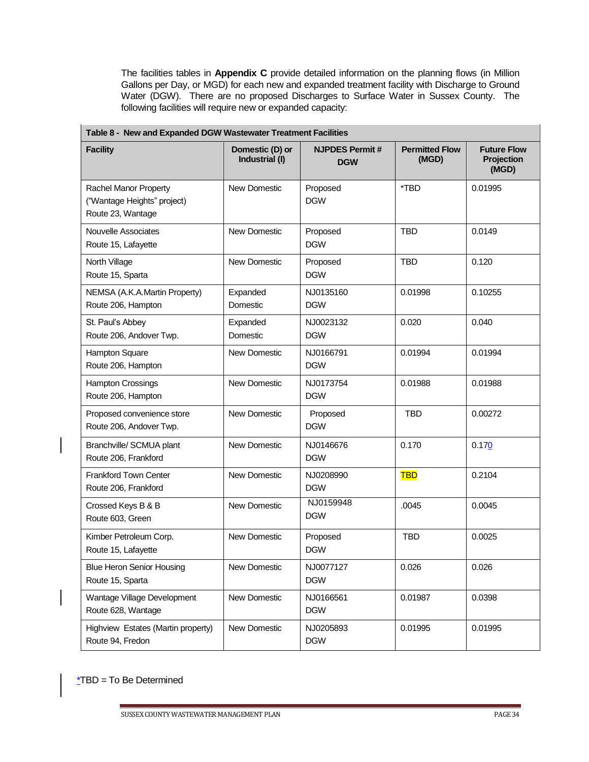The facilities tables in **Appendix C** provide detailed information on the planning flows (in Million Gallons per Day, or MGD) for each new and expanded treatment facility with Discharge to Ground Water (DGW). There are no proposed Discharges to Surface Water in Sussex County. The following facilities will require new or expanded capacity:

| Table 8 - New and Expanded DGW Wastewater Treatment Facilities            |                                   |                                     |                                |                                           |  |  |  |
|---------------------------------------------------------------------------|-----------------------------------|-------------------------------------|--------------------------------|-------------------------------------------|--|--|--|
| <b>Facility</b>                                                           | Domestic (D) or<br>Industrial (I) | <b>NJPDES Permit#</b><br><b>DGW</b> | <b>Permitted Flow</b><br>(MGD) | <b>Future Flow</b><br>Projection<br>(MGD) |  |  |  |
| Rachel Manor Property<br>("Wantage Heights" project)<br>Route 23, Wantage | <b>New Domestic</b>               | Proposed<br><b>DGW</b>              | *TBD                           | 0.01995                                   |  |  |  |
| Nouvelle Associates<br>Route 15, Lafayette                                | <b>New Domestic</b>               | Proposed<br><b>DGW</b>              | <b>TBD</b>                     | 0.0149                                    |  |  |  |
| North Village<br>Route 15, Sparta                                         | <b>New Domestic</b>               | Proposed<br><b>DGW</b>              | <b>TBD</b>                     | 0.120                                     |  |  |  |
| NEMSA (A.K.A.Martin Property)<br>Route 206, Hampton                       | Expanded<br>Domestic              | NJ0135160<br><b>DGW</b>             | 0.01998                        | 0.10255                                   |  |  |  |
| St. Paul's Abbey<br>Route 206, Andover Twp.                               | Expanded<br>Domestic              | NJ0023132<br><b>DGW</b>             | 0.020                          | 0.040                                     |  |  |  |
| <b>Hampton Square</b><br>Route 206, Hampton                               | <b>New Domestic</b>               | NJ0166791<br><b>DGW</b>             | 0.01994                        | 0.01994                                   |  |  |  |
| Hampton Crossings<br>Route 206, Hampton                                   | <b>New Domestic</b>               | NJ0173754<br><b>DGW</b>             | 0.01988                        | 0.01988                                   |  |  |  |
| Proposed convenience store<br>Route 206, Andover Twp.                     | <b>New Domestic</b>               | Proposed<br><b>DGW</b>              | <b>TBD</b>                     | 0.00272                                   |  |  |  |
| Branchville/ SCMUA plant<br>Route 206, Frankford                          | <b>New Domestic</b>               | NJ0146676<br><b>DGW</b>             | 0.170                          | 0.170                                     |  |  |  |
| Frankford Town Center<br>Route 206, Frankford                             | <b>New Domestic</b>               | NJ0208990<br><b>DGW</b>             | <b>TBD</b>                     | 0.2104                                    |  |  |  |
| Crossed Keys B & B<br>Route 603, Green                                    | New Domestic                      | NJ0159948<br><b>DGW</b>             | .0045                          | 0.0045                                    |  |  |  |
| Kimber Petroleum Corp.<br>Route 15, Lafayette                             | <b>New Domestic</b>               | Proposed<br><b>DGW</b>              | <b>TBD</b>                     | 0.0025                                    |  |  |  |
| <b>Blue Heron Senior Housing</b><br>Route 15, Sparta                      | New Domestic                      | NJ0077127<br><b>DGW</b>             | 0.026                          | 0.026                                     |  |  |  |
| Wantage Village Development<br>Route 628, Wantage                         | New Domestic                      | NJ0166561<br><b>DGW</b>             | 0.01987                        | 0.0398                                    |  |  |  |
| Highview Estates (Martin property)<br>Route 94, Fredon                    | New Domestic                      | NJ0205893<br><b>DGW</b>             | 0.01995                        | 0.01995                                   |  |  |  |

<span id="page-33-0"></span> $*$ TBD = To Be Determined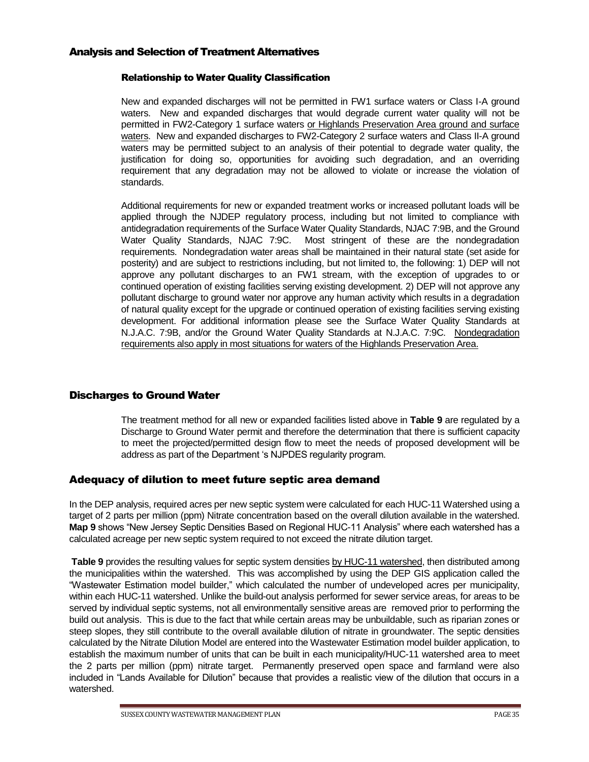#### Analysis and Selection of Treatment Alternatives

#### Relationship to Water Quality Classification

New and expanded discharges will not be permitted in FW1 surface waters or Class I-A ground waters. New and expanded discharges that would degrade current water quality will not be permitted in FW2-Category 1 surface waters or Highlands Preservation Area ground and surface waters. New and expanded discharges to FW2-Category 2 surface waters and Class II-A ground waters may be permitted subject to an analysis of their potential to degrade water quality, the justification for doing so, opportunities for avoiding such degradation, and an overriding requirement that any degradation may not be allowed to violate or increase the violation of standards.

Additional requirements for new or expanded treatment works or increased pollutant loads will be applied through the NJDEP regulatory process, including but not limited to compliance with antidegradation requirements of the Surface Water Quality Standards, NJAC 7:9B, and the Ground Water Quality Standards, NJAC 7:9C. Most stringent of these are the nondegradation requirements. Nondegradation water areas shall be maintained in their natural state (set aside for posterity) and are subject to restrictions including, but not limited to, the following: 1) DEP will not approve any pollutant discharges to an FW1 stream, with the exception of upgrades to or continued operation of existing facilities serving existing development. 2) DEP will not approve any pollutant discharge to ground water nor approve any human activity which results in a degradation of natural quality except for the upgrade or continued operation of existing facilities serving existing development. For additional information please see the Surface Water Quality Standards at N.J.A.C. 7:9B, and/or the Ground Water Quality Standards at N.J.A.C. 7:9C. Nondegradation requirements also apply in most situations for waters of the Highlands Preservation Area.

## Discharges to Ground Water

The treatment method for all new or expanded facilities listed above in **Table 9** are regulated by a Discharge to Ground Water permit and therefore the determination that there is sufficient capacity to meet the projected/permitted design flow to meet the needs of proposed development will be address as part of the Department 's NJPDES regularity program.

#### Adequacy of dilution to meet future septic area demand

In the DEP analysis, required acres per new septic system were calculated for each HUC-11 Watershed using a target of 2 parts per million (ppm) Nitrate concentration based on the overall dilution available in the watershed. **Map 9** shows "New Jersey Septic Densities Based on Regional HUC-11 Analysis" where each watershed has a calculated acreage per new septic system required to not exceed the nitrate dilution target.

**Table 9** provides the resulting values for septic system densities by HUC-11 watershed, then distributed among the municipalities within the watershed. This was accomplished by using the DEP GIS application called the "Wastewater Estimation model builder," which calculated the number of undeveloped acres per municipality, within each HUC-11 watershed. Unlike the build-out analysis performed for sewer service areas, for areas to be served by individual septic systems, not all environmentally sensitive areas are removed prior to performing the build out analysis. This is due to the fact that while certain areas may be unbuildable, such as riparian zones or steep slopes, they still contribute to the overall available dilution of nitrate in groundwater. The septic densities calculated by the Nitrate Dilution Model are entered into the Wastewater Estimation model builder application, to establish the maximum number of units that can be built in each municipality/HUC-11 watershed area to meet the 2 parts per million (ppm) nitrate target. Permanently preserved open space and farmland were also included in "Lands Available for Dilution" because that provides a realistic view of the dilution that occurs in a watershed.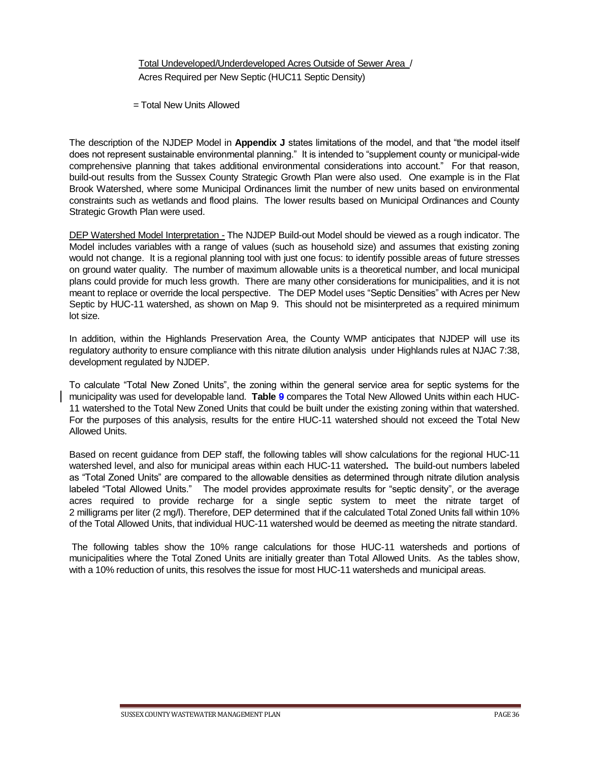Total Undeveloped/Underdeveloped Acres Outside of Sewer Area / Acres Required per New Septic (HUC11 Septic Density)

= Total New Units Allowed

The description of the NJDEP Model in **Appendix J** states limitations of the model, and that "the model itself does not represent sustainable environmental planning." It is intended to "supplement county or municipal-wide comprehensive planning that takes additional environmental considerations into account." For that reason, build-out results from the Sussex County Strategic Growth Plan were also used. One example is in the Flat Brook Watershed, where some Municipal Ordinances limit the number of new units based on environmental constraints such as wetlands and flood plains. The lower results based on Municipal Ordinances and County Strategic Growth Plan were used.

DEP Watershed Model Interpretation - The NJDEP Build-out Model should be viewed as a rough indicator. The Model includes variables with a range of values (such as household size) and assumes that existing zoning would not change. It is a regional planning tool with just one focus: to identify possible areas of future stresses on ground water quality. The number of maximum allowable units is a theoretical number, and local municipal plans could provide for much less growth. There are many other considerations for municipalities, and it is not meant to replace or override the local perspective. The DEP Model uses "Septic Densities" with Acres per New Septic by HUC-11 watershed, as shown on Map 9. This should not be misinterpreted as a required minimum lot size.

In addition, within the Highlands Preservation Area, the County WMP anticipates that NJDEP will use its regulatory authority to ensure compliance with this nitrate dilution analysis under Highlands rules at NJAC 7:38, development regulated by NJDEP.

To calculate "Total New Zoned Units", the zoning within the general service area for septic systems for the municipality was used for developable land. **Table 9** compares the Total New Allowed Units within each HUC-11 watershed to the Total New Zoned Units that could be built under the existing zoning within that watershed. For the purposes of this analysis, results for the entire HUC-11 watershed should not exceed the Total New Allowed Units.

Based on recent guidance from DEP staff, the following tables will show calculations for the regional HUC-11 watershed level, and also for municipal areas within each HUC-11 watershed**.** The build-out numbers labeled as "Total Zoned Units" are compared to the allowable densities as determined through nitrate dilution analysis labeled "Total Allowed Units." The model provides approximate results for "septic density", or the average acres required to provide recharge for a single septic system to meet the nitrate target of 2 milligrams per liter (2 mg/l). Therefore, DEP determined that if the calculated Total Zoned Units fall within 10% of the Total Allowed Units, that individual HUC-11 watershed would be deemed as meeting the nitrate standard.

The following tables show the 10% range calculations for those HUC-11 watersheds and portions of municipalities where the Total Zoned Units are initially greater than Total Allowed Units. As the tables show, with a 10% reduction of units, this resolves the issue for most HUC-11 watersheds and municipal areas.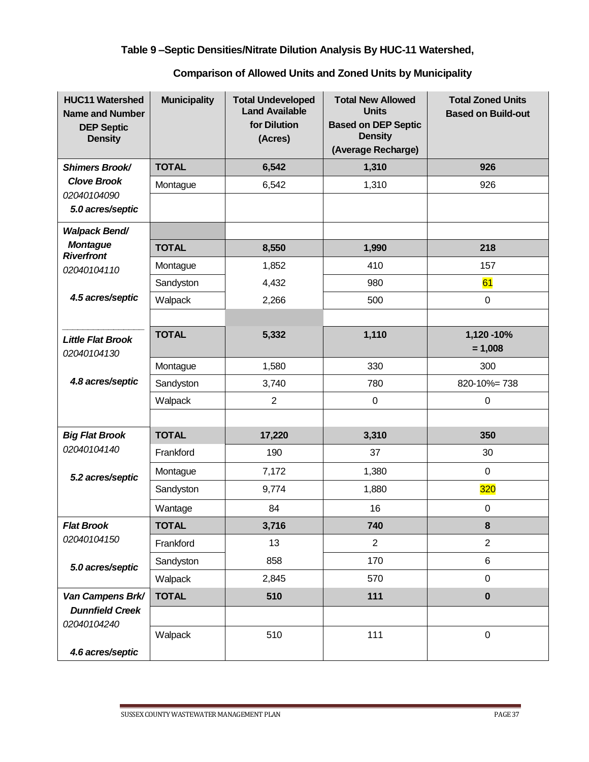| <b>HUC11 Watershed</b><br><b>Name and Number</b><br><b>DEP Septic</b><br><b>Density</b> | <b>Municipality</b> | <b>Total Undeveloped</b><br><b>Land Available</b><br>for Dilution<br>(Acres) | <b>Total New Allowed</b><br><b>Units</b><br><b>Based on DEP Septic</b><br><b>Density</b><br>(Average Recharge) | <b>Total Zoned Units</b><br><b>Based on Build-out</b> |
|-----------------------------------------------------------------------------------------|---------------------|------------------------------------------------------------------------------|----------------------------------------------------------------------------------------------------------------|-------------------------------------------------------|
| Shimers Brook/                                                                          | <b>TOTAL</b>        | 6,542                                                                        | 1,310                                                                                                          | 926                                                   |
| <b>Clove Brook</b>                                                                      | Montague            | 6,542                                                                        | 1,310                                                                                                          | 926                                                   |
| 02040104090<br>5.0 acres/septic                                                         |                     |                                                                              |                                                                                                                |                                                       |
| <b>Walpack Bend/</b>                                                                    |                     |                                                                              |                                                                                                                |                                                       |
| <b>Montague</b><br><b>Riverfront</b>                                                    | <b>TOTAL</b>        | 8,550                                                                        | 1,990                                                                                                          | 218                                                   |
| 02040104110                                                                             | Montague            | 1,852                                                                        | 410                                                                                                            | 157                                                   |
|                                                                                         | Sandyston           | 4,432                                                                        | 980                                                                                                            | 61                                                    |
| 4.5 acres/septic                                                                        | Walpack             | 2,266                                                                        | 500                                                                                                            | $\mathbf 0$                                           |
|                                                                                         |                     |                                                                              |                                                                                                                |                                                       |
| <b>Little Flat Brook</b><br>02040104130                                                 | <b>TOTAL</b>        | 5,332                                                                        | 1,110                                                                                                          | 1,120 - 10%<br>$= 1,008$                              |
|                                                                                         | Montague            | 1,580                                                                        | 330                                                                                                            | 300                                                   |
| 4.8 acres/septic                                                                        | Sandyston           | 3,740                                                                        | 780                                                                                                            | 820-10%=738                                           |
|                                                                                         | Walpack             | $\overline{2}$                                                               | $\mathbf 0$                                                                                                    | 0                                                     |
|                                                                                         |                     |                                                                              |                                                                                                                |                                                       |
| <b>Big Flat Brook</b>                                                                   | <b>TOTAL</b>        | 17,220                                                                       | 3,310                                                                                                          | 350                                                   |
| 02040104140                                                                             | Frankford           | 190                                                                          | 37                                                                                                             | 30                                                    |
| 5.2 acres/septic                                                                        | Montague            | 7,172                                                                        | 1,380                                                                                                          | $\mathbf 0$                                           |
|                                                                                         | Sandyston           | 9,774                                                                        | 1,880                                                                                                          | <b>320</b>                                            |
|                                                                                         | Wantage             | 84                                                                           | 16                                                                                                             | $\mathbf 0$                                           |
| <b>Flat Brook</b>                                                                       | <b>TOTAL</b>        | 3,716                                                                        | 740                                                                                                            | ${\bf 8}$                                             |
| 02040104150                                                                             | Frankford           | 13                                                                           | $\overline{2}$                                                                                                 | $\overline{2}$                                        |
| 5.0 acres/septic                                                                        | Sandyston           | 858                                                                          | 170                                                                                                            | 6                                                     |
|                                                                                         | Walpack             | 2,845                                                                        | 570                                                                                                            | $\mathsf 0$                                           |
| Van Campens Brk/                                                                        | <b>TOTAL</b>        | 510                                                                          | 111                                                                                                            | $\mathbf 0$                                           |
| <b>Dunnfield Creek</b>                                                                  |                     |                                                                              |                                                                                                                |                                                       |
| 02040104240                                                                             | Walpack             | 510                                                                          | 111                                                                                                            | $\mathbf 0$                                           |
| 4.6 acres/septic                                                                        |                     |                                                                              |                                                                                                                |                                                       |

## **Comparison of Allowed Units and Zoned Units by Municipality**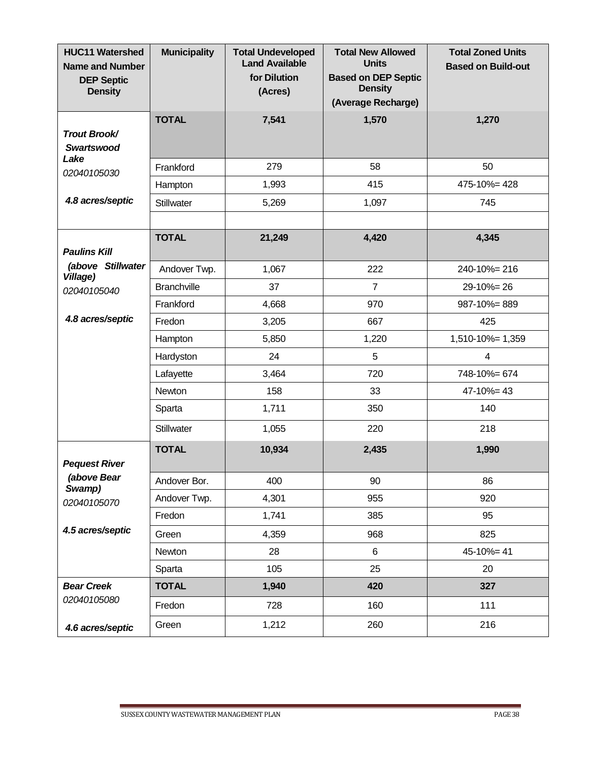| <b>HUC11 Watershed</b><br><b>Name and Number</b><br><b>DEP Septic</b><br><b>Density</b> | <b>Municipality</b> | <b>Total Undeveloped</b><br><b>Land Available</b><br>for Dilution<br>(Acres) | <b>Total New Allowed</b><br><b>Units</b><br><b>Based on DEP Septic</b><br><b>Density</b><br>(Average Recharge) | <b>Total Zoned Units</b><br><b>Based on Build-out</b> |
|-----------------------------------------------------------------------------------------|---------------------|------------------------------------------------------------------------------|----------------------------------------------------------------------------------------------------------------|-------------------------------------------------------|
| Trout Brook/<br><b>Swartswood</b><br>Lake                                               | <b>TOTAL</b>        | 7,541                                                                        | 1,570                                                                                                          | 1,270                                                 |
| 02040105030                                                                             | Frankford           | 279                                                                          | 58                                                                                                             | 50                                                    |
|                                                                                         | Hampton             | 1,993                                                                        | 415                                                                                                            | 475-10%=428                                           |
| 4.8 acres/septic                                                                        | <b>Stillwater</b>   | 5,269                                                                        | 1,097                                                                                                          | 745                                                   |
|                                                                                         |                     |                                                                              |                                                                                                                |                                                       |
| <b>Paulins Kill</b>                                                                     | <b>TOTAL</b>        | 21,249                                                                       | 4,420                                                                                                          | 4,345                                                 |
| (above Stillwater                                                                       | Andover Twp.        | 1,067                                                                        | 222                                                                                                            | 240-10%=216                                           |
| Village)<br>02040105040                                                                 | <b>Branchville</b>  | 37                                                                           | $\overline{7}$                                                                                                 | $29-10\% = 26$                                        |
|                                                                                         | Frankford           | 4,668                                                                        | 970                                                                                                            | $987 - 10\% = 889$                                    |
| 4.8 acres/septic                                                                        | Fredon              | 3,205                                                                        | 667                                                                                                            | 425                                                   |
|                                                                                         | Hampton             | 5,850                                                                        | 1,220                                                                                                          | 1,510-10%= 1,359                                      |
|                                                                                         | Hardyston           | 24                                                                           | 5                                                                                                              | 4                                                     |
|                                                                                         | Lafayette           | 3,464                                                                        | 720                                                                                                            | 748-10%= 674                                          |
|                                                                                         | Newton              | 158                                                                          | 33                                                                                                             | $47 - 10\% = 43$                                      |
|                                                                                         | Sparta              | 1,711                                                                        | 350                                                                                                            | 140                                                   |
|                                                                                         | <b>Stillwater</b>   | 1,055                                                                        | 220                                                                                                            | 218                                                   |
| <b>Pequest River</b>                                                                    | <b>TOTAL</b>        | 10,934                                                                       | 2,435                                                                                                          | 1,990                                                 |
| <i>(above Bear</i><br>Swamp)                                                            | Andover Bor.        | 400                                                                          | 90                                                                                                             | 86                                                    |
| 02040105070                                                                             | Andover Twp.        | 4,301                                                                        | 955                                                                                                            | 920                                                   |
|                                                                                         | Fredon              | 1,741                                                                        | 385                                                                                                            | 95                                                    |
| 4.5 acres/septic                                                                        | Green               | 4,359                                                                        | 968                                                                                                            | 825                                                   |
|                                                                                         | Newton              | 28                                                                           | 6                                                                                                              | $45 - 10% = 41$                                       |
|                                                                                         | Sparta              | 105                                                                          | 25                                                                                                             | 20                                                    |
| <b>Bear Creek</b>                                                                       | <b>TOTAL</b>        | 1,940                                                                        | 420                                                                                                            | 327                                                   |
| 02040105080                                                                             | Fredon              | 728                                                                          | 160                                                                                                            | 111                                                   |
| 4.6 acres/septic                                                                        | Green               | 1,212                                                                        | 260                                                                                                            | 216                                                   |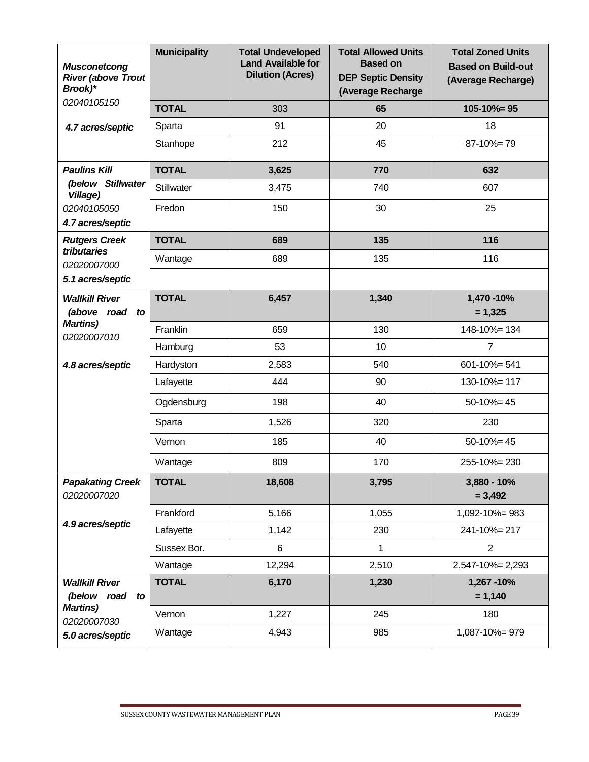| <b>Musconetcong</b><br><b>River (above Trout</b><br>Brook)*                | <b>Municipality</b> | <b>Total Undeveloped</b><br><b>Land Available for</b><br><b>Dilution (Acres)</b> | <b>Total Allowed Units</b><br><b>Based on</b><br><b>DEP Septic Density</b><br>(Average Recharge | <b>Total Zoned Units</b><br><b>Based on Build-out</b><br>(Average Recharge) |
|----------------------------------------------------------------------------|---------------------|----------------------------------------------------------------------------------|-------------------------------------------------------------------------------------------------|-----------------------------------------------------------------------------|
| 02040105150                                                                | <b>TOTAL</b>        | 303                                                                              | 65                                                                                              | $105 - 10\% = 95$                                                           |
| 4.7 acres/septic                                                           | Sparta              | 91                                                                               | 20                                                                                              | 18                                                                          |
|                                                                            | Stanhope            | 212                                                                              | 45                                                                                              | $87-10% = 79$                                                               |
| <b>Paulins Kill</b>                                                        | <b>TOTAL</b>        | 3,625                                                                            | 770                                                                                             | 632                                                                         |
| (below Stillwater<br>Village)                                              | <b>Stillwater</b>   | 3,475                                                                            | 740                                                                                             | 607                                                                         |
| 02040105050<br>4.7 acres/septic                                            | Fredon              | 150                                                                              | 30                                                                                              | 25                                                                          |
| <b>Rutgers Creek</b>                                                       | <b>TOTAL</b>        | 689                                                                              | 135                                                                                             | 116                                                                         |
| tributaries<br>02020007000                                                 | Wantage             | 689                                                                              | 135                                                                                             | 116                                                                         |
| 5.1 acres/septic                                                           |                     |                                                                                  |                                                                                                 |                                                                             |
| <b>Wallkill River</b><br>(above road to<br><b>Martins</b> )<br>02020007010 | <b>TOTAL</b>        | 6,457                                                                            | 1,340                                                                                           | 1,470 - 10%<br>$= 1,325$                                                    |
|                                                                            | Franklin            | 659                                                                              | 130                                                                                             | 148-10%= 134                                                                |
|                                                                            | Hamburg             | 53                                                                               | 10                                                                                              | $\overline{7}$                                                              |
| 4.8 acres/septic                                                           | Hardyston           | 2,583                                                                            | 540                                                                                             | $601 - 10\% = 541$                                                          |
|                                                                            | Lafayette           | 444                                                                              | 90                                                                                              | 130-10%= 117                                                                |
|                                                                            | Ogdensburg          | 198                                                                              | 40                                                                                              | $50-10% = 45$                                                               |
|                                                                            | Sparta              | 1,526                                                                            | 320                                                                                             | 230                                                                         |
|                                                                            | Vernon              | 185                                                                              | 40                                                                                              | $50-10% = 45$                                                               |
|                                                                            | Wantage             | 809                                                                              | 170                                                                                             | 255-10%=230                                                                 |
| <b>Papakating Creek</b><br>02020007020                                     | <b>TOTAL</b>        | 18,608                                                                           | 3,795                                                                                           | $3,880 - 10%$<br>$= 3,492$                                                  |
|                                                                            | Frankford           | 5,166                                                                            | 1,055                                                                                           | 1,092-10%=983                                                               |
| 4.9 acres/septic                                                           | Lafayette           | 1,142                                                                            | 230                                                                                             | 241-10%=217                                                                 |
|                                                                            | Sussex Bor.         | 6                                                                                | 1                                                                                               | $\overline{2}$                                                              |
|                                                                            | Wantage             | 12,294                                                                           | 2,510                                                                                           | 2,547-10%= 2,293                                                            |
| <b>Wallkill River</b><br>(below road<br>to                                 | <b>TOTAL</b>        | 6,170                                                                            | 1,230                                                                                           | 1,267 - 10%<br>$= 1,140$                                                    |
| <b>Martins)</b><br>02020007030                                             | Vernon              | 1,227                                                                            | 245                                                                                             | 180                                                                         |
| 5.0 acres/septic                                                           | Wantage             | 4,943                                                                            | 985                                                                                             | 1,087-10%=979                                                               |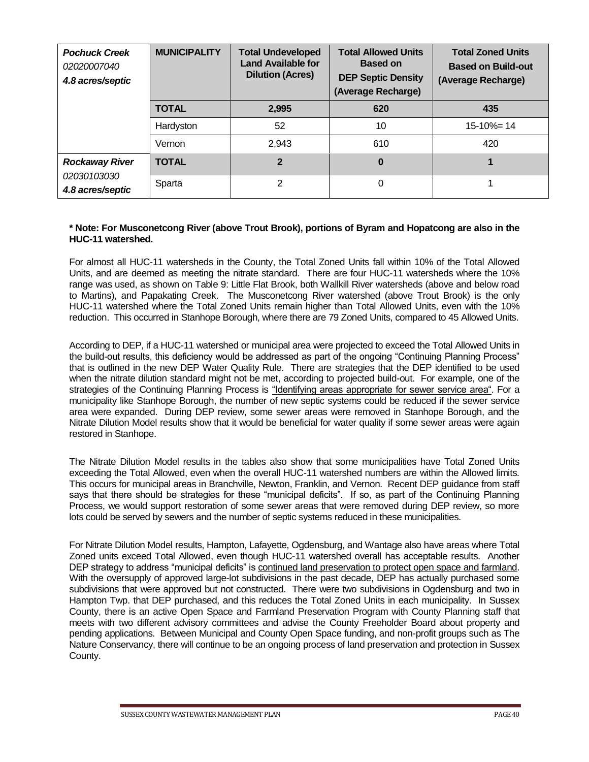| <b>Pochuck Creek</b><br>02020007040<br>4.8 acres/septic  | <b>MUNICIPALITY</b> | <b>Total Undeveloped</b><br><b>Land Available for</b><br><b>Dilution (Acres)</b> | <b>Total Allowed Units</b><br><b>Based on</b><br><b>DEP Septic Density</b><br>(Average Recharge) | <b>Total Zoned Units</b><br><b>Based on Build-out</b><br>(Average Recharge) |
|----------------------------------------------------------|---------------------|----------------------------------------------------------------------------------|--------------------------------------------------------------------------------------------------|-----------------------------------------------------------------------------|
|                                                          | <b>TOTAL</b>        | 2,995                                                                            | 620                                                                                              | 435                                                                         |
|                                                          | Hardyston           | 52                                                                               | 10                                                                                               | $15 - 10\% = 14$                                                            |
|                                                          | Vernon              | 2.943                                                                            | 610                                                                                              | 420                                                                         |
| <b>Rockaway River</b><br>02030103030<br>4.8 acres/septic | <b>TOTAL</b>        | $\mathbf{2}$                                                                     | 0                                                                                                |                                                                             |
|                                                          | Sparta              | 2                                                                                | 0                                                                                                |                                                                             |

#### **\* Note: For Musconetcong River (above Trout Brook), portions of Byram and Hopatcong are also in the HUC-11 watershed.**

For almost all HUC-11 watersheds in the County, the Total Zoned Units fall within 10% of the Total Allowed Units, and are deemed as meeting the nitrate standard. There are four HUC-11 watersheds where the 10% range was used, as shown on Table 9: Little Flat Brook, both Wallkill River watersheds (above and below road to Martins), and Papakating Creek. The Musconetcong River watershed (above Trout Brook) is the only HUC-11 watershed where the Total Zoned Units remain higher than Total Allowed Units, even with the 10% reduction. This occurred in Stanhope Borough, where there are 79 Zoned Units, compared to 45 Allowed Units.

According to DEP, if a HUC-11 watershed or municipal area were projected to exceed the Total Allowed Units in the build-out results, this deficiency would be addressed as part of the ongoing "Continuing Planning Process" that is outlined in the new DEP Water Quality Rule. There are strategies that the DEP identified to be used when the nitrate dilution standard might not be met, according to projected build-out. For example, one of the strategies of the Continuing Planning Process is "Identifying areas appropriate for sewer service area". For a municipality like Stanhope Borough, the number of new septic systems could be reduced if the sewer service area were expanded. During DEP review, some sewer areas were removed in Stanhope Borough, and the Nitrate Dilution Model results show that it would be beneficial for water quality if some sewer areas were again restored in Stanhope.

The Nitrate Dilution Model results in the tables also show that some municipalities have Total Zoned Units exceeding the Total Allowed, even when the overall HUC-11 watershed numbers are within the Allowed limits. This occurs for municipal areas in Branchville, Newton, Franklin, and Vernon. Recent DEP guidance from staff says that there should be strategies for these "municipal deficits". If so, as part of the Continuing Planning Process, we would support restoration of some sewer areas that were removed during DEP review, so more lots could be served by sewers and the number of septic systems reduced in these municipalities.

For Nitrate Dilution Model results, Hampton, Lafayette, Ogdensburg, and Wantage also have areas where Total Zoned units exceed Total Allowed, even though HUC-11 watershed overall has acceptable results. Another DEP strategy to address "municipal deficits" is continued land preservation to protect open space and farmland. With the oversupply of approved large-lot subdivisions in the past decade, DEP has actually purchased some subdivisions that were approved but not constructed. There were two subdivisions in Ogdensburg and two in Hampton Twp. that DEP purchased, and this reduces the Total Zoned Units in each municipality. In Sussex County, there is an active Open Space and Farmland Preservation Program with County Planning staff that meets with two different advisory committees and advise the County Freeholder Board about property and pending applications. Between Municipal and County Open Space funding, and non-profit groups such as The Nature Conservancy, there will continue to be an ongoing process of land preservation and protection in Sussex County.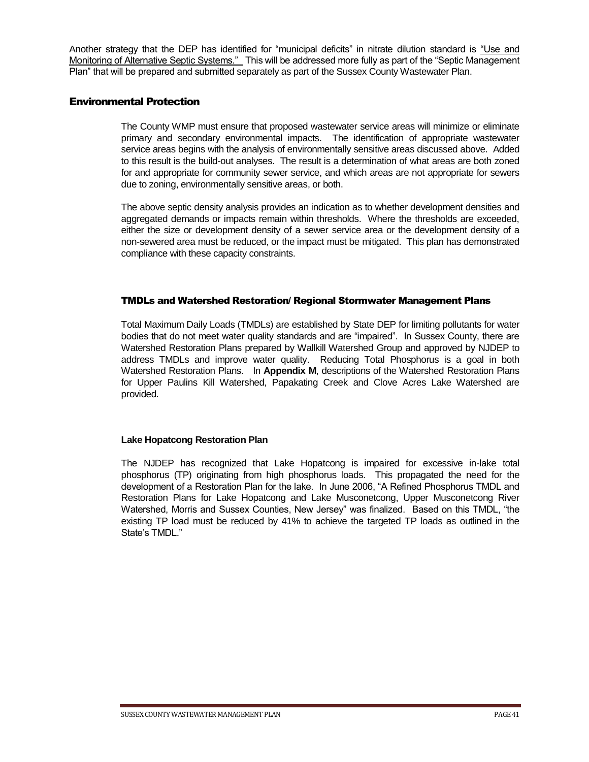Another strategy that the DEP has identified for "municipal deficits" in nitrate dilution standard is "Use and Monitoring of Alternative Septic Systems." This will be addressed more fully as part of the "Septic Management Plan" that will be prepared and submitted separately as part of the Sussex County Wastewater Plan.

#### <span id="page-40-0"></span>Environmental Protection

The County WMP must ensure that proposed wastewater service areas will minimize or eliminate primary and secondary environmental impacts. The identification of appropriate wastewater service areas begins with the analysis of environmentally sensitive areas discussed above. Added to this result is the build-out analyses. The result is a determination of what areas are both zoned for and appropriate for community sewer service, and which areas are not appropriate for sewers due to zoning, environmentally sensitive areas, or both.

The above septic density analysis provides an indication as to whether development densities and aggregated demands or impacts remain within thresholds. Where the thresholds are exceeded, either the size or development density of a sewer service area or the development density of a non-sewered area must be reduced, or the impact must be mitigated. This plan has demonstrated compliance with these capacity constraints.

#### <span id="page-40-1"></span>TMDLs and Watershed Restoration/ Regional Stormwater Management Plans

Total Maximum Daily Loads (TMDLs) are established by State DEP for limiting pollutants for water bodies that do not meet water quality standards and are "impaired". In Sussex County, there are Watershed Restoration Plans prepared by Wallkill Watershed Group and approved by NJDEP to address TMDLs and improve water quality. Reducing Total Phosphorus is a goal in both Watershed Restoration Plans. In **Appendix M**, descriptions of the Watershed Restoration Plans for Upper Paulins Kill Watershed, Papakating Creek and Clove Acres Lake Watershed are provided.

#### **Lake Hopatcong Restoration Plan**

The NJDEP has recognized that Lake Hopatcong is impaired for excessive in-lake total phosphorus (TP) originating from high phosphorus loads. This propagated the need for the development of a Restoration Plan for the lake. In June 2006, "A Refined Phosphorus TMDL and Restoration Plans for Lake Hopatcong and Lake Musconetcong, Upper Musconetcong River Watershed, Morris and Sussex Counties, New Jersey" was finalized. Based on this TMDL, "the existing TP load must be reduced by 41% to achieve the targeted TP loads as outlined in the State's TMDL."